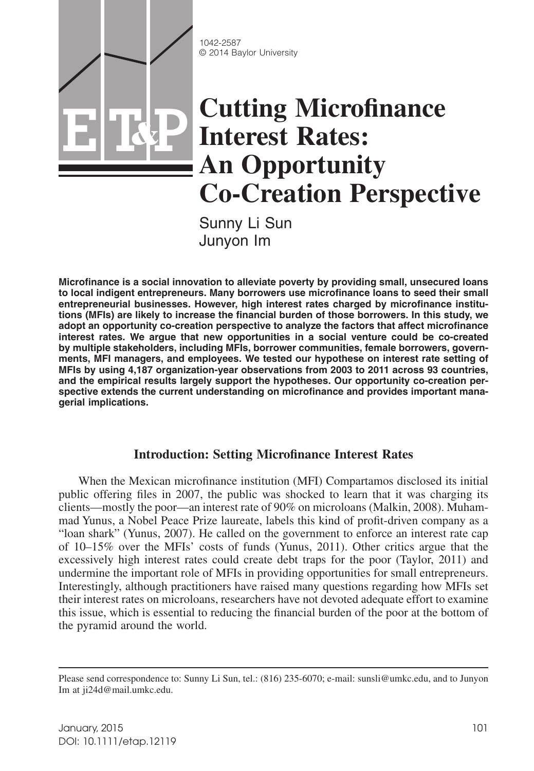

# **Cutting Microfinance Interest Rates: An Opportunity Co-Creation Perspective**

Sunny Li Sun Junyon Im

**Microfinance is a social innovation to alleviate poverty by providing small, unsecured loans to local indigent entrepreneurs. Many borrowers use microfinance loans to seed their small entrepreneurial businesses. However, high interest rates charged by microfinance institutions (MFIs) are likely to increase the financial burden of those borrowers. In this study, we adopt an opportunity co-creation perspective to analyze the factors that affect microfinance interest rates. We argue that new opportunities in a social venture could be co-created by multiple stakeholders, including MFIs, borrower communities, female borrowers, governments, MFI managers, and employees. We tested our hypothese on interest rate setting of MFIs by using 4,187 organization-year observations from 2003 to 2011 across 93 countries, and the empirical results largely support the hypotheses. Our opportunity co-creation perspective extends the current understanding on microfinance and provides important managerial implications.**

# **Introduction: Setting Microfinance Interest Rates**

When the Mexican microfinance institution (MFI) Compartamos disclosed its initial public offering files in 2007, the public was shocked to learn that it was charging its clients—mostly the poor—an interest rate of 90% on microloans (Malkin, 2008). Muhammad Yunus, a Nobel Peace Prize laureate, labels this kind of profit-driven company as a "loan shark" (Yunus, 2007). He called on the government to enforce an interest rate cap of 10–15% over the MFIs' costs of funds (Yunus, 2011). Other critics argue that the excessively high interest rates could create debt traps for the poor (Taylor, 2011) and undermine the important role of MFIs in providing opportunities for small entrepreneurs. Interestingly, although practitioners have raised many questions regarding how MFIs set their interest rates on microloans, researchers have not devoted adequate effort to examine this issue, which is essential to reducing the financial burden of the poor at the bottom of the pyramid around the world.

**E T&P**

Please send correspondence to: Sunny Li Sun, tel.: (816) 235-6070; e-mail: sunsli@umkc.edu, and to Junyon Im at ji24d@mail.umkc.edu.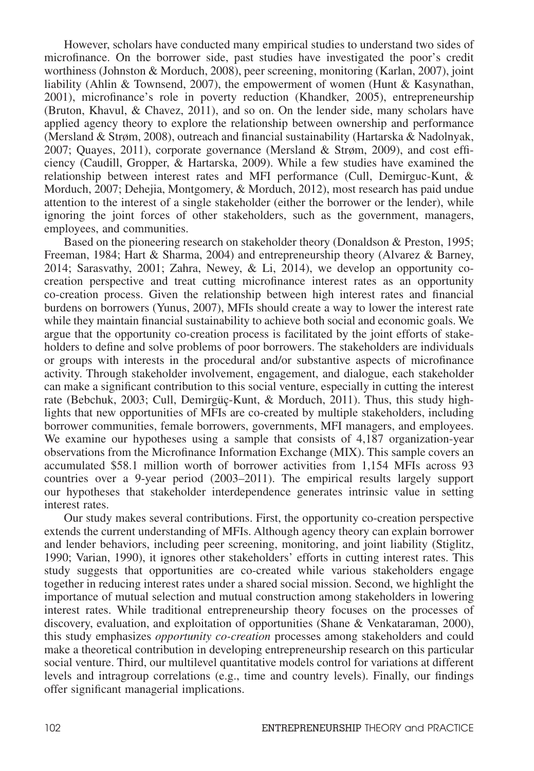However, scholars have conducted many empirical studies to understand two sides of microfinance. On the borrower side, past studies have investigated the poor's credit worthiness (Johnston & Morduch, 2008), peer screening, monitoring (Karlan, 2007), joint liability (Ahlin & Townsend, 2007), the empowerment of women (Hunt & Kasynathan, 2001), microfinance's role in poverty reduction (Khandker, 2005), entrepreneurship (Bruton, Khavul, & Chavez, 2011), and so on. On the lender side, many scholars have applied agency theory to explore the relationship between ownership and performance (Mersland & Strøm, 2008), outreach and financial sustainability (Hartarska & Nadolnyak, 2007; Quayes, 2011), corporate governance (Mersland & Strøm, 2009), and cost efficiency (Caudill, Gropper, & Hartarska, 2009). While a few studies have examined the relationship between interest rates and MFI performance (Cull, Demirguc-Kunt, & Morduch, 2007; Dehejia, Montgomery, & Morduch, 2012), most research has paid undue attention to the interest of a single stakeholder (either the borrower or the lender), while ignoring the joint forces of other stakeholders, such as the government, managers, employees, and communities.

Based on the pioneering research on stakeholder theory (Donaldson & Preston, 1995; Freeman, 1984; Hart & Sharma, 2004) and entrepreneurship theory (Alvarez & Barney, 2014; Sarasvathy, 2001; Zahra, Newey, & Li, 2014), we develop an opportunity cocreation perspective and treat cutting microfinance interest rates as an opportunity co-creation process. Given the relationship between high interest rates and financial burdens on borrowers (Yunus, 2007), MFIs should create a way to lower the interest rate while they maintain financial sustainability to achieve both social and economic goals. We argue that the opportunity co-creation process is facilitated by the joint efforts of stakeholders to define and solve problems of poor borrowers. The stakeholders are individuals or groups with interests in the procedural and/or substantive aspects of microfinance activity. Through stakeholder involvement, engagement, and dialogue, each stakeholder can make a significant contribution to this social venture, especially in cutting the interest rate (Bebchuk, 2003; Cull, Demirgüç-Kunt, & Morduch, 2011). Thus, this study highlights that new opportunities of MFIs are co-created by multiple stakeholders, including borrower communities, female borrowers, governments, MFI managers, and employees. We examine our hypotheses using a sample that consists of 4,187 organization-year observations from the Microfinance Information Exchange (MIX). This sample covers an accumulated \$58.1 million worth of borrower activities from 1,154 MFIs across 93 countries over a 9-year period (2003–2011). The empirical results largely support our hypotheses that stakeholder interdependence generates intrinsic value in setting interest rates.

Our study makes several contributions. First, the opportunity co-creation perspective extends the current understanding of MFIs. Although agency theory can explain borrower and lender behaviors, including peer screening, monitoring, and joint liability (Stiglitz, 1990; Varian, 1990), it ignores other stakeholders' efforts in cutting interest rates. This study suggests that opportunities are co-created while various stakeholders engage together in reducing interest rates under a shared social mission. Second, we highlight the importance of mutual selection and mutual construction among stakeholders in lowering interest rates. While traditional entrepreneurship theory focuses on the processes of discovery, evaluation, and exploitation of opportunities (Shane & Venkataraman, 2000), this study emphasizes *opportunity co-creation* processes among stakeholders and could make a theoretical contribution in developing entrepreneurship research on this particular social venture. Third, our multilevel quantitative models control for variations at different levels and intragroup correlations (e.g., time and country levels). Finally, our findings offer significant managerial implications.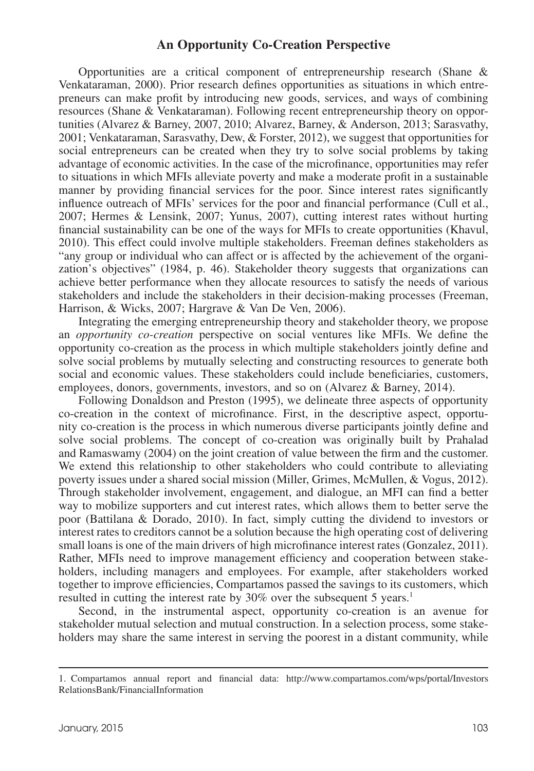## **An Opportunity Co-Creation Perspective**

Opportunities are a critical component of entrepreneurship research (Shane & Venkataraman, 2000). Prior research defines opportunities as situations in which entrepreneurs can make profit by introducing new goods, services, and ways of combining resources (Shane & Venkataraman). Following recent entrepreneurship theory on opportunities (Alvarez & Barney, 2007, 2010; Alvarez, Barney, & Anderson, 2013; Sarasvathy, 2001; Venkataraman, Sarasvathy, Dew, & Forster, 2012), we suggest that opportunities for social entrepreneurs can be created when they try to solve social problems by taking advantage of economic activities. In the case of the microfinance, opportunities may refer to situations in which MFIs alleviate poverty and make a moderate profit in a sustainable manner by providing financial services for the poor. Since interest rates significantly influence outreach of MFIs' services for the poor and financial performance (Cull et al., 2007; Hermes & Lensink, 2007; Yunus, 2007), cutting interest rates without hurting financial sustainability can be one of the ways for MFIs to create opportunities (Khavul, 2010). This effect could involve multiple stakeholders. Freeman defines stakeholders as "any group or individual who can affect or is affected by the achievement of the organization's objectives" (1984, p. 46). Stakeholder theory suggests that organizations can achieve better performance when they allocate resources to satisfy the needs of various stakeholders and include the stakeholders in their decision-making processes (Freeman, Harrison, & Wicks, 2007; Hargrave & Van De Ven, 2006).

Integrating the emerging entrepreneurship theory and stakeholder theory, we propose an *opportunity co-creation* perspective on social ventures like MFIs. We define the opportunity co-creation as the process in which multiple stakeholders jointly define and solve social problems by mutually selecting and constructing resources to generate both social and economic values. These stakeholders could include beneficiaries, customers, employees, donors, governments, investors, and so on (Alvarez & Barney, 2014).

Following Donaldson and Preston (1995), we delineate three aspects of opportunity co-creation in the context of microfinance. First, in the descriptive aspect, opportunity co-creation is the process in which numerous diverse participants jointly define and solve social problems. The concept of co-creation was originally built by Prahalad and Ramaswamy (2004) on the joint creation of value between the firm and the customer. We extend this relationship to other stakeholders who could contribute to alleviating poverty issues under a shared social mission (Miller, Grimes, McMullen, & Vogus, 2012). Through stakeholder involvement, engagement, and dialogue, an MFI can find a better way to mobilize supporters and cut interest rates, which allows them to better serve the poor (Battilana & Dorado, 2010). In fact, simply cutting the dividend to investors or interest rates to creditors cannot be a solution because the high operating cost of delivering small loans is one of the main drivers of high microfinance interest rates (Gonzalez, 2011). Rather, MFIs need to improve management efficiency and cooperation between stakeholders, including managers and employees. For example, after stakeholders worked together to improve efficiencies, Compartamos passed the savings to its customers, which resulted in cutting the interest rate by  $30\%$  over the subsequent 5 years.<sup>1</sup>

Second, in the instrumental aspect, opportunity co-creation is an avenue for stakeholder mutual selection and mutual construction. In a selection process, some stakeholders may share the same interest in serving the poorest in a distant community, while

<sup>1.</sup> Compartamos annual report and financial data: http://www.compartamos.com/wps/portal/Investors RelationsBank/FinancialInformation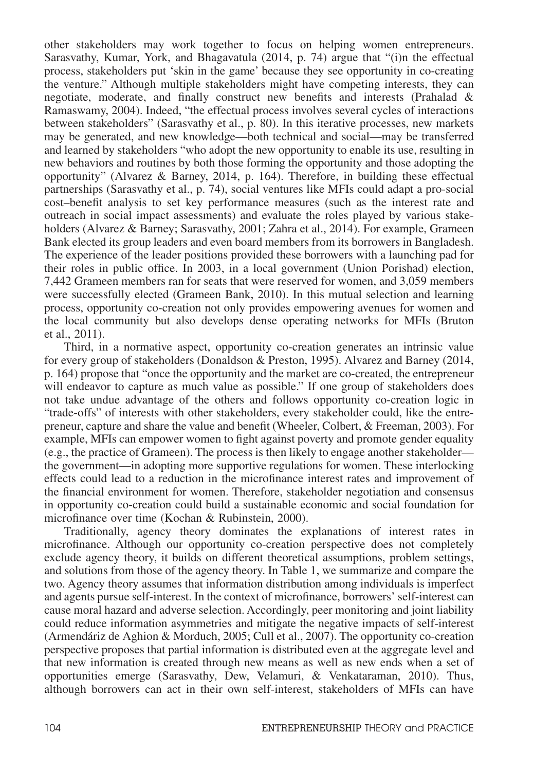other stakeholders may work together to focus on helping women entrepreneurs. Sarasvathy, Kumar, York, and Bhagavatula (2014, p. 74) argue that "(i)n the effectual process, stakeholders put 'skin in the game' because they see opportunity in co-creating the venture." Although multiple stakeholders might have competing interests, they can negotiate, moderate, and finally construct new benefits and interests (Prahalad & Ramaswamy, 2004). Indeed, "the effectual process involves several cycles of interactions between stakeholders" (Sarasvathy et al., p. 80). In this iterative processes, new markets may be generated, and new knowledge—both technical and social—may be transferred and learned by stakeholders "who adopt the new opportunity to enable its use, resulting in new behaviors and routines by both those forming the opportunity and those adopting the opportunity" (Alvarez & Barney, 2014, p. 164). Therefore, in building these effectual partnerships (Sarasvathy et al., p. 74), social ventures like MFIs could adapt a pro-social cost–benefit analysis to set key performance measures (such as the interest rate and outreach in social impact assessments) and evaluate the roles played by various stakeholders (Alvarez & Barney; Sarasvathy, 2001; Zahra et al., 2014). For example, Grameen Bank elected its group leaders and even board members from its borrowers in Bangladesh. The experience of the leader positions provided these borrowers with a launching pad for their roles in public office. In 2003, in a local government (Union Porishad) election, 7,442 Grameen members ran for seats that were reserved for women, and 3,059 members were successfully elected (Grameen Bank, 2010). In this mutual selection and learning process, opportunity co-creation not only provides empowering avenues for women and the local community but also develops dense operating networks for MFIs (Bruton et al., 2011).

Third, in a normative aspect, opportunity co-creation generates an intrinsic value for every group of stakeholders (Donaldson & Preston, 1995). Alvarez and Barney (2014, p. 164) propose that "once the opportunity and the market are co-created, the entrepreneur will endeavor to capture as much value as possible." If one group of stakeholders does not take undue advantage of the others and follows opportunity co-creation logic in "trade-offs" of interests with other stakeholders, every stakeholder could, like the entrepreneur, capture and share the value and benefit (Wheeler, Colbert, & Freeman, 2003). For example, MFIs can empower women to fight against poverty and promote gender equality (e.g., the practice of Grameen). The process is then likely to engage another stakeholder the government—in adopting more supportive regulations for women. These interlocking effects could lead to a reduction in the microfinance interest rates and improvement of the financial environment for women. Therefore, stakeholder negotiation and consensus in opportunity co-creation could build a sustainable economic and social foundation for microfinance over time (Kochan & Rubinstein, 2000).

Traditionally, agency theory dominates the explanations of interest rates in microfinance. Although our opportunity co-creation perspective does not completely exclude agency theory, it builds on different theoretical assumptions, problem settings, and solutions from those of the agency theory. In Table 1, we summarize and compare the two. Agency theory assumes that information distribution among individuals is imperfect and agents pursue self-interest. In the context of microfinance, borrowers' self-interest can cause moral hazard and adverse selection. Accordingly, peer monitoring and joint liability could reduce information asymmetries and mitigate the negative impacts of self-interest (Armendáriz de Aghion & Morduch, 2005; Cull et al., 2007). The opportunity co-creation perspective proposes that partial information is distributed even at the aggregate level and that new information is created through new means as well as new ends when a set of opportunities emerge (Sarasvathy, Dew, Velamuri, & Venkataraman, 2010). Thus, although borrowers can act in their own self-interest, stakeholders of MFIs can have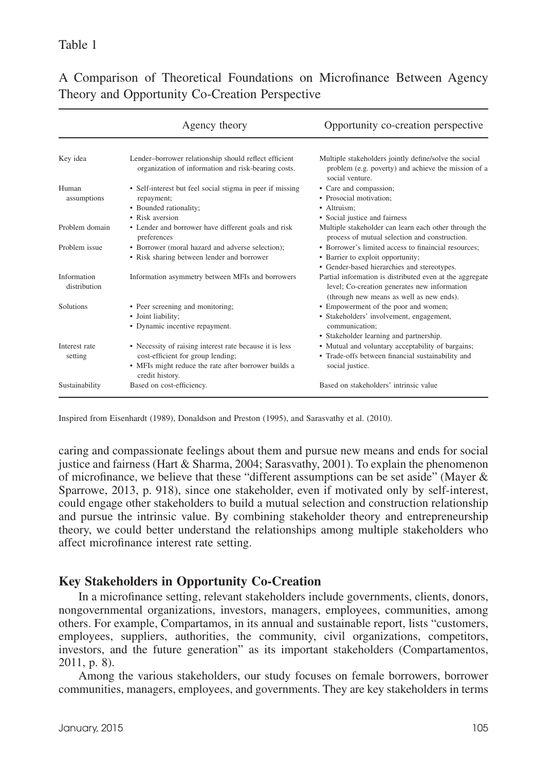# A Comparison of Theoretical Foundations on Microfinance Between Agency Theory and Opportunity Co-Creation Perspective

|                             | Agency theory                                                                                                                                                           | Opportunity co-creation perspective                                                                                                                  |
|-----------------------------|-------------------------------------------------------------------------------------------------------------------------------------------------------------------------|------------------------------------------------------------------------------------------------------------------------------------------------------|
| Key idea                    | Lender-borrower relationship should reflect efficient<br>organization of information and risk-bearing costs.                                                            | Multiple stakeholders jointly define/solve the social<br>problem (e.g. poverty) and achieve the mission of a<br>social venture.                      |
| Human<br>assumptions        | • Self-interest but feel social stigma in peer if missing<br>repayment;<br>• Bounded rationality;<br>• Risk aversion                                                    | • Care and compassion;<br>• Prosocial motivation:<br>· Altruism:<br>• Social justice and fairness                                                    |
| Problem domain              | • Lender and borrower have different goals and risk<br>preferences                                                                                                      | Multiple stakeholder can learn each other through the<br>process of mutual selection and construction.                                               |
| Problem issue               | • Borrower (moral hazard and adverse selection);<br>• Risk sharing between lender and borrower                                                                          | • Borrower's limited access to finaincial resources;<br>• Barrier to exploit opportunity;<br>• Gender-based hierarchies and stereotypes.             |
| Information<br>distribution | Information asymmetry between MFIs and borrowers                                                                                                                        | Partial information is distributed even at the aggregate<br>level; Co-creation generates new information<br>(through new means as well as new ends). |
| Solutions                   | • Peer screening and monitoring;<br>• Joint liability;<br>• Dynamic incentive repayment.                                                                                | • Empowerment of the poor and women;<br>• Stakeholders' involvement, engagement,<br>communication:<br>• Stakeholder learning and partnership.        |
| Interest rate<br>setting    | • Necessity of raising interest rate because it is less<br>cost-efficient for group lending;<br>• MFIs might reduce the rate after borrower builds a<br>credit history. | • Mutual and voluntary acceptability of bargains;<br>• Trade-offs between financial sustainability and<br>social justice.                            |
| Sustainability              | Based on cost-efficiency.                                                                                                                                               | Based on stakeholders' intrinsic value                                                                                                               |

Inspired from Eisenhardt (1989), Donaldson and Preston (1995), and Sarasvathy et al. (2010).

caring and compassionate feelings about them and pursue new means and ends for social justice and fairness (Hart & Sharma, 2004; Sarasvathy, 2001). To explain the phenomenon of microfinance, we believe that these "different assumptions can be set aside" (Mayer  $\&$ Sparrowe, 2013, p. 918), since one stakeholder, even if motivated only by self-interest, could engage other stakeholders to build a mutual selection and construction relationship and pursue the intrinsic value. By combining stakeholder theory and entrepreneurship theory, we could better understand the relationships among multiple stakeholders who affect microfinance interest rate setting.

## **Key Stakeholders in Opportunity Co-Creation**

In a microfinance setting, relevant stakeholders include governments, clients, donors, nongovernmental organizations, investors, managers, employees, communities, among others. For example, Compartamos, in its annual and sustainable report, lists "customers, employees, suppliers, authorities, the community, civil organizations, competitors, investors, and the future generation" as its important stakeholders (Compartamentos, 2011, p. 8).

Among the various stakeholders, our study focuses on female borrowers, borrower communities, managers, employees, and governments. They are key stakeholders in terms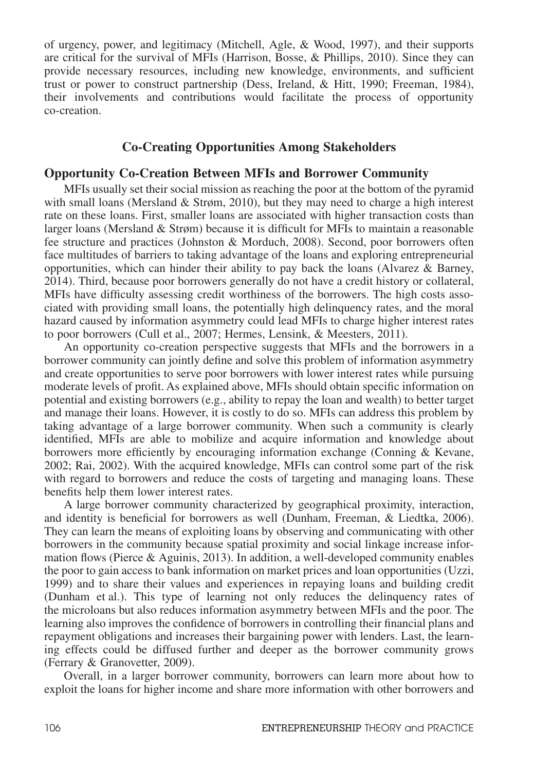of urgency, power, and legitimacy (Mitchell, Agle, & Wood, 1997), and their supports are critical for the survival of MFIs (Harrison, Bosse, & Phillips, 2010). Since they can provide necessary resources, including new knowledge, environments, and sufficient trust or power to construct partnership (Dess, Ireland, & Hitt, 1990; Freeman, 1984), their involvements and contributions would facilitate the process of opportunity co-creation.

## **Co-Creating Opportunities Among Stakeholders**

#### **Opportunity Co-Creation Between MFIs and Borrower Community**

MFIs usually set their social mission as reaching the poor at the bottom of the pyramid with small loans (Mersland  $&$  Strøm, 2010), but they may need to charge a high interest rate on these loans. First, smaller loans are associated with higher transaction costs than larger loans (Mersland & Strøm) because it is difficult for MFIs to maintain a reasonable fee structure and practices (Johnston & Morduch, 2008). Second, poor borrowers often face multitudes of barriers to taking advantage of the loans and exploring entrepreneurial opportunities, which can hinder their ability to pay back the loans (Alvarez  $\&$  Barney, 2014). Third, because poor borrowers generally do not have a credit history or collateral, MFIs have difficulty assessing credit worthiness of the borrowers. The high costs associated with providing small loans, the potentially high delinquency rates, and the moral hazard caused by information asymmetry could lead MFIs to charge higher interest rates to poor borrowers (Cull et al., 2007; Hermes, Lensink, & Meesters, 2011).

An opportunity co-creation perspective suggests that MFIs and the borrowers in a borrower community can jointly define and solve this problem of information asymmetry and create opportunities to serve poor borrowers with lower interest rates while pursuing moderate levels of profit. As explained above, MFIs should obtain specific information on potential and existing borrowers (e.g., ability to repay the loan and wealth) to better target and manage their loans. However, it is costly to do so. MFIs can address this problem by taking advantage of a large borrower community. When such a community is clearly identified, MFIs are able to mobilize and acquire information and knowledge about borrowers more efficiently by encouraging information exchange (Conning & Kevane, 2002; Rai, 2002). With the acquired knowledge, MFIs can control some part of the risk with regard to borrowers and reduce the costs of targeting and managing loans. These benefits help them lower interest rates.

A large borrower community characterized by geographical proximity, interaction, and identity is beneficial for borrowers as well (Dunham, Freeman, & Liedtka, 2006). They can learn the means of exploiting loans by observing and communicating with other borrowers in the community because spatial proximity and social linkage increase information flows (Pierce  $\&$  Aguinis, 2013). In addition, a well-developed community enables the poor to gain access to bank information on market prices and loan opportunities (Uzzi, 1999) and to share their values and experiences in repaying loans and building credit (Dunham et al.). This type of learning not only reduces the delinquency rates of the microloans but also reduces information asymmetry between MFIs and the poor. The learning also improves the confidence of borrowers in controlling their financial plans and repayment obligations and increases their bargaining power with lenders. Last, the learning effects could be diffused further and deeper as the borrower community grows (Ferrary & Granovetter, 2009).

Overall, in a larger borrower community, borrowers can learn more about how to exploit the loans for higher income and share more information with other borrowers and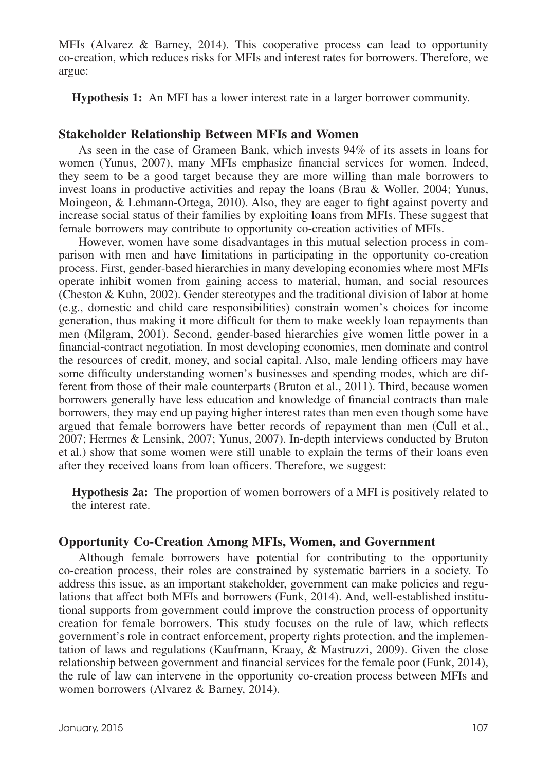MFIs (Alvarez & Barney, 2014). This cooperative process can lead to opportunity co-creation, which reduces risks for MFIs and interest rates for borrowers. Therefore, we argue:

**Hypothesis 1:** An MFI has a lower interest rate in a larger borrower community.

## **Stakeholder Relationship Between MFIs and Women**

As seen in the case of Grameen Bank, which invests 94% of its assets in loans for women (Yunus, 2007), many MFIs emphasize financial services for women. Indeed, they seem to be a good target because they are more willing than male borrowers to invest loans in productive activities and repay the loans (Brau & Woller, 2004; Yunus, Moingeon, & Lehmann-Ortega, 2010). Also, they are eager to fight against poverty and increase social status of their families by exploiting loans from MFIs. These suggest that female borrowers may contribute to opportunity co-creation activities of MFIs.

However, women have some disadvantages in this mutual selection process in comparison with men and have limitations in participating in the opportunity co-creation process. First, gender-based hierarchies in many developing economies where most MFIs operate inhibit women from gaining access to material, human, and social resources (Cheston & Kuhn, 2002). Gender stereotypes and the traditional division of labor at home (e.g., domestic and child care responsibilities) constrain women's choices for income generation, thus making it more difficult for them to make weekly loan repayments than men (Milgram, 2001). Second, gender-based hierarchies give women little power in a financial-contract negotiation. In most developing economies, men dominate and control the resources of credit, money, and social capital. Also, male lending officers may have some difficulty understanding women's businesses and spending modes, which are different from those of their male counterparts (Bruton et al., 2011). Third, because women borrowers generally have less education and knowledge of financial contracts than male borrowers, they may end up paying higher interest rates than men even though some have argued that female borrowers have better records of repayment than men (Cull et al., 2007; Hermes & Lensink, 2007; Yunus, 2007). In-depth interviews conducted by Bruton et al.) show that some women were still unable to explain the terms of their loans even after they received loans from loan officers. Therefore, we suggest:

**Hypothesis 2a:** The proportion of women borrowers of a MFI is positively related to the interest rate.

### **Opportunity Co-Creation Among MFIs, Women, and Government**

Although female borrowers have potential for contributing to the opportunity co-creation process, their roles are constrained by systematic barriers in a society. To address this issue, as an important stakeholder, government can make policies and regulations that affect both MFIs and borrowers (Funk, 2014). And, well-established institutional supports from government could improve the construction process of opportunity creation for female borrowers. This study focuses on the rule of law, which reflects government's role in contract enforcement, property rights protection, and the implementation of laws and regulations (Kaufmann, Kraay, & Mastruzzi, 2009). Given the close relationship between government and financial services for the female poor (Funk, 2014), the rule of law can intervene in the opportunity co-creation process between MFIs and women borrowers (Alvarez & Barney, 2014).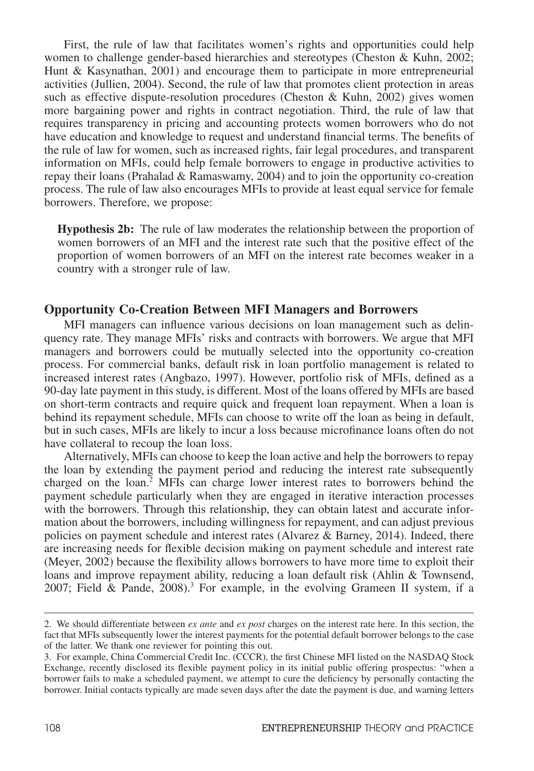First, the rule of law that facilitates women's rights and opportunities could help women to challenge gender-based hierarchies and stereotypes (Cheston & Kuhn, 2002; Hunt & Kasynathan, 2001) and encourage them to participate in more entrepreneurial activities (Jullien, 2004). Second, the rule of law that promotes client protection in areas such as effective dispute-resolution procedures (Cheston & Kuhn, 2002) gives women more bargaining power and rights in contract negotiation. Third, the rule of law that requires transparency in pricing and accounting protects women borrowers who do not have education and knowledge to request and understand financial terms. The benefits of the rule of law for women, such as increased rights, fair legal procedures, and transparent information on MFIs, could help female borrowers to engage in productive activities to repay their loans (Prahalad & Ramaswamy, 2004) and to join the opportunity co-creation process. The rule of law also encourages MFIs to provide at least equal service for female borrowers. Therefore, we propose:

**Hypothesis 2b:** The rule of law moderates the relationship between the proportion of women borrowers of an MFI and the interest rate such that the positive effect of the proportion of women borrowers of an MFI on the interest rate becomes weaker in a country with a stronger rule of law.

## **Opportunity Co-Creation Between MFI Managers and Borrowers**

MFI managers can influence various decisions on loan management such as delinquency rate. They manage MFIs' risks and contracts with borrowers. We argue that MFI managers and borrowers could be mutually selected into the opportunity co-creation process. For commercial banks, default risk in loan portfolio management is related to increased interest rates (Angbazo, 1997). However, portfolio risk of MFIs, defined as a 90-day late payment in this study, is different. Most of the loans offered by MFIs are based on short-term contracts and require quick and frequent loan repayment. When a loan is behind its repayment schedule, MFIs can choose to write off the loan as being in default, but in such cases, MFIs are likely to incur a loss because microfinance loans often do not have collateral to recoup the loan loss.

Alternatively, MFIs can choose to keep the loan active and help the borrowers to repay the loan by extending the payment period and reducing the interest rate subsequently charged on the loan.2 MFIs can charge lower interest rates to borrowers behind the payment schedule particularly when they are engaged in iterative interaction processes with the borrowers. Through this relationship, they can obtain latest and accurate information about the borrowers, including willingness for repayment, and can adjust previous policies on payment schedule and interest rates (Alvarez & Barney, 2014). Indeed, there are increasing needs for flexible decision making on payment schedule and interest rate (Meyer, 2002) because the flexibility allows borrowers to have more time to exploit their loans and improve repayment ability, reducing a loan default risk (Ahlin & Townsend, 2007; Field & Pande, 2008).<sup>3</sup> For example, in the evolving Grameen II system, if a

<sup>2.</sup> We should differentiate between *ex ante* and *ex post* charges on the interest rate here. In this section, the fact that MFIs subsequently lower the interest payments for the potential default borrower belongs to the case of the latter. We thank one reviewer for pointing this out.

<sup>3.</sup> For example, China Commercial Credit Inc. (CCCR), the first Chinese MFI listed on the NASDAQ Stock Exchange, recently disclosed its flexible payment policy in its initial public offering prospectus: "when a borrower fails to make a scheduled payment, we attempt to cure the deficiency by personally contacting the borrower. Initial contacts typically are made seven days after the date the payment is due, and warning letters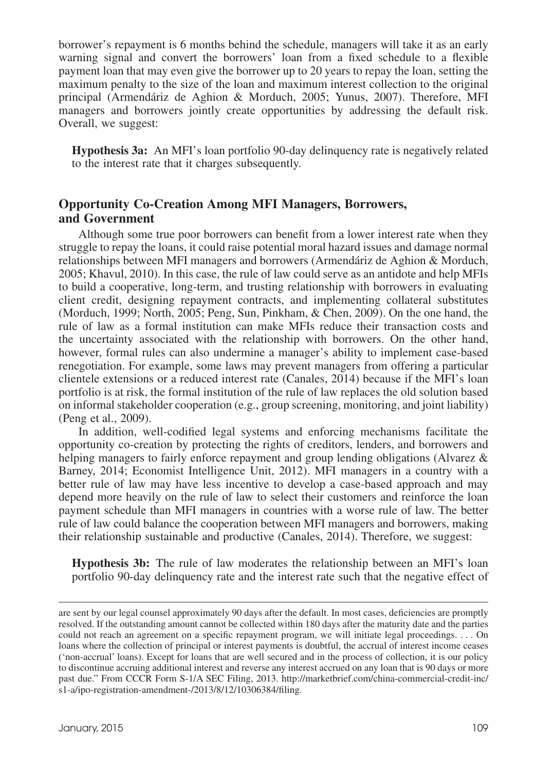borrower's repayment is 6 months behind the schedule, managers will take it as an early warning signal and convert the borrowers' loan from a fixed schedule to a flexible payment loan that may even give the borrower up to 20 years to repay the loan, setting the maximum penalty to the size of the loan and maximum interest collection to the original principal (Armendáriz de Aghion & Morduch, 2005; Yunus, 2007). Therefore, MFI managers and borrowers jointly create opportunities by addressing the default risk. Overall, we suggest:

**Hypothesis 3a:** An MFI's loan portfolio 90-day delinquency rate is negatively related to the interest rate that it charges subsequently.

## **Opportunity Co-Creation Among MFI Managers, Borrowers, and Government**

Although some true poor borrowers can benefit from a lower interest rate when they struggle to repay the loans, it could raise potential moral hazard issues and damage normal relationships between MFI managers and borrowers (Armendáriz de Aghion & Morduch, 2005; Khavul, 2010). In this case, the rule of law could serve as an antidote and help MFIs to build a cooperative, long-term, and trusting relationship with borrowers in evaluating client credit, designing repayment contracts, and implementing collateral substitutes (Morduch, 1999; North, 2005; Peng, Sun, Pinkham, & Chen, 2009). On the one hand, the rule of law as a formal institution can make MFIs reduce their transaction costs and the uncertainty associated with the relationship with borrowers. On the other hand, however, formal rules can also undermine a manager's ability to implement case-based renegotiation. For example, some laws may prevent managers from offering a particular clientele extensions or a reduced interest rate (Canales, 2014) because if the MFI's loan portfolio is at risk, the formal institution of the rule of law replaces the old solution based on informal stakeholder cooperation (e.g., group screening, monitoring, and joint liability) (Peng et al., 2009).

In addition, well-codified legal systems and enforcing mechanisms facilitate the opportunity co-creation by protecting the rights of creditors, lenders, and borrowers and helping managers to fairly enforce repayment and group lending obligations (Alvarez & Barney, 2014; Economist Intelligence Unit, 2012). MFI managers in a country with a better rule of law may have less incentive to develop a case-based approach and may depend more heavily on the rule of law to select their customers and reinforce the loan payment schedule than MFI managers in countries with a worse rule of law. The better rule of law could balance the cooperation between MFI managers and borrowers, making their relationship sustainable and productive (Canales, 2014). Therefore, we suggest:

**Hypothesis 3b:** The rule of law moderates the relationship between an MFI's loan portfolio 90-day delinquency rate and the interest rate such that the negative effect of

are sent by our legal counsel approximately 90 days after the default. In most cases, deficiencies are promptly resolved. If the outstanding amount cannot be collected within 180 days after the maturity date and the parties could not reach an agreement on a specific repayment program, we will initiate legal proceedings. . . . On loans where the collection of principal or interest payments is doubtful, the accrual of interest income ceases ('non-accrual' loans). Except for loans that are well secured and in the process of collection, it is our policy to discontinue accruing additional interest and reverse any interest accrued on any loan that is 90 days or more past due." From CCCR Form S-1/A SEC Filing, 2013. http://marketbrief.com/china-commercial-credit-inc/ s1-a/ipo-registration-amendment-/2013/8/12/10306384/filing.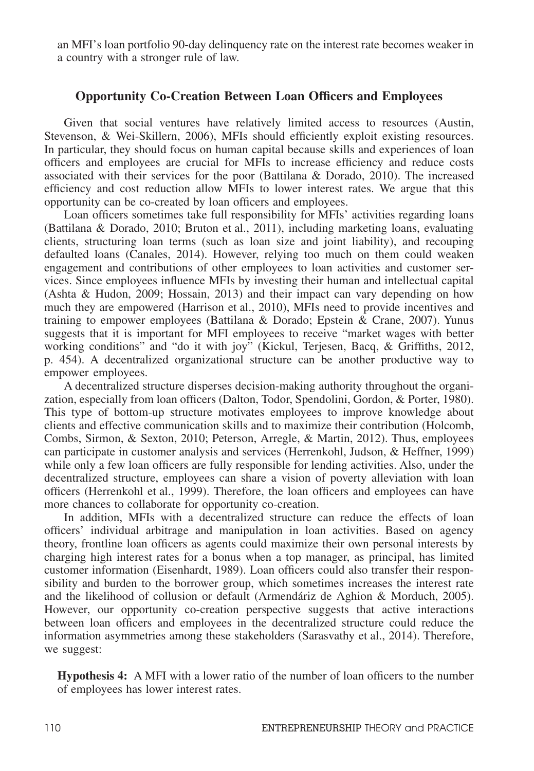an MFI's loan portfolio 90-day delinquency rate on the interest rate becomes weaker in a country with a stronger rule of law.

## **Opportunity Co-Creation Between Loan Officers and Employees**

Given that social ventures have relatively limited access to resources (Austin, Stevenson, & Wei-Skillern, 2006), MFIs should efficiently exploit existing resources. In particular, they should focus on human capital because skills and experiences of loan officers and employees are crucial for MFIs to increase efficiency and reduce costs associated with their services for the poor (Battilana & Dorado, 2010). The increased efficiency and cost reduction allow MFIs to lower interest rates. We argue that this opportunity can be co-created by loan officers and employees.

Loan officers sometimes take full responsibility for MFIs' activities regarding loans (Battilana & Dorado, 2010; Bruton et al., 2011), including marketing loans, evaluating clients, structuring loan terms (such as loan size and joint liability), and recouping defaulted loans (Canales, 2014). However, relying too much on them could weaken engagement and contributions of other employees to loan activities and customer services. Since employees influence MFIs by investing their human and intellectual capital (Ashta & Hudon, 2009; Hossain, 2013) and their impact can vary depending on how much they are empowered (Harrison et al., 2010), MFIs need to provide incentives and training to empower employees (Battilana & Dorado; Epstein & Crane, 2007). Yunus suggests that it is important for MFI employees to receive "market wages with better working conditions" and "do it with joy" (Kickul, Terjesen, Bacq, & Griffiths, 2012, p. 454). A decentralized organizational structure can be another productive way to empower employees.

A decentralized structure disperses decision-making authority throughout the organization, especially from loan officers (Dalton, Todor, Spendolini, Gordon, & Porter, 1980). This type of bottom-up structure motivates employees to improve knowledge about clients and effective communication skills and to maximize their contribution (Holcomb, Combs, Sirmon, & Sexton, 2010; Peterson, Arregle, & Martin, 2012). Thus, employees can participate in customer analysis and services (Herrenkohl, Judson, & Heffner, 1999) while only a few loan officers are fully responsible for lending activities. Also, under the decentralized structure, employees can share a vision of poverty alleviation with loan officers (Herrenkohl et al., 1999). Therefore, the loan officers and employees can have more chances to collaborate for opportunity co-creation.

In addition, MFIs with a decentralized structure can reduce the effects of loan officers' individual arbitrage and manipulation in loan activities. Based on agency theory, frontline loan officers as agents could maximize their own personal interests by charging high interest rates for a bonus when a top manager, as principal, has limited customer information (Eisenhardt, 1989). Loan officers could also transfer their responsibility and burden to the borrower group, which sometimes increases the interest rate and the likelihood of collusion or default (Armendáriz de Aghion & Morduch, 2005). However, our opportunity co-creation perspective suggests that active interactions between loan officers and employees in the decentralized structure could reduce the information asymmetries among these stakeholders (Sarasvathy et al., 2014). Therefore, we suggest:

**Hypothesis 4:** A MFI with a lower ratio of the number of loan officers to the number of employees has lower interest rates.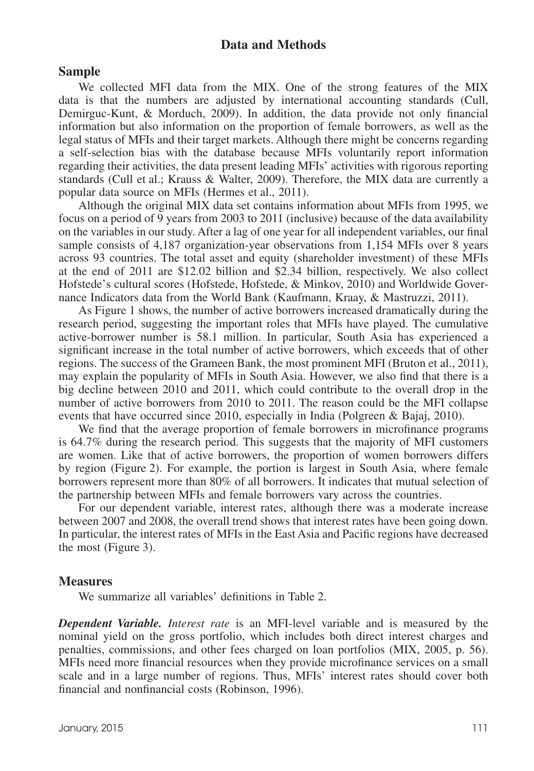## **Sample**

We collected MFI data from the MIX. One of the strong features of the MIX data is that the numbers are adjusted by international accounting standards (Cull, Demirguc-Kunt, & Morduch, 2009). In addition, the data provide not only financial information but also information on the proportion of female borrowers, as well as the legal status of MFIs and their target markets. Although there might be concerns regarding a self-selection bias with the database because MFIs voluntarily report information regarding their activities, the data present leading MFIs' activities with rigorous reporting standards (Cull et al.; Krauss & Walter, 2009). Therefore, the MIX data are currently a popular data source on MFIs (Hermes et al., 2011).

Although the original MIX data set contains information about MFIs from 1995, we focus on a period of 9 years from 2003 to 2011 (inclusive) because of the data availability on the variables in our study. After a lag of one year for all independent variables, our final sample consists of 4,187 organization-year observations from 1,154 MFIs over 8 years across 93 countries. The total asset and equity (shareholder investment) of these MFIs at the end of 2011 are \$12.02 billion and \$2.34 billion, respectively. We also collect Hofstede's cultural scores (Hofstede, Hofstede, & Minkov, 2010) and Worldwide Governance Indicators data from the World Bank (Kaufmann, Kraay, & Mastruzzi, 2011).

As Figure 1 shows, the number of active borrowers increased dramatically during the research period, suggesting the important roles that MFIs have played. The cumulative active-borrower number is 58.1 million. In particular, South Asia has experienced a significant increase in the total number of active borrowers, which exceeds that of other regions. The success of the Grameen Bank, the most prominent MFI (Bruton et al., 2011), may explain the popularity of MFIs in South Asia. However, we also find that there is a big decline between 2010 and 2011, which could contribute to the overall drop in the number of active borrowers from 2010 to 2011. The reason could be the MFI collapse events that have occurred since 2010, especially in India (Polgreen & Bajaj, 2010).

We find that the average proportion of female borrowers in microfinance programs is 64.7% during the research period. This suggests that the majority of MFI customers are women. Like that of active borrowers, the proportion of women borrowers differs by region (Figure 2). For example, the portion is largest in South Asia, where female borrowers represent more than 80% of all borrowers. It indicates that mutual selection of the partnership between MFIs and female borrowers vary across the countries.

For our dependent variable, interest rates, although there was a moderate increase between 2007 and 2008, the overall trend shows that interest rates have been going down. In particular, the interest rates of MFIs in the East Asia and Pacific regions have decreased the most (Figure 3).

## **Measures**

We summarize all variables' definitions in Table 2.

*Dependent Variable. Interest rate* is an MFI-level variable and is measured by the nominal yield on the gross portfolio, which includes both direct interest charges and penalties, commissions, and other fees charged on loan portfolios (MIX, 2005, p. 56). MFIs need more financial resources when they provide microfinance services on a small scale and in a large number of regions. Thus, MFIs' interest rates should cover both financial and nonfinancial costs (Robinson, 1996).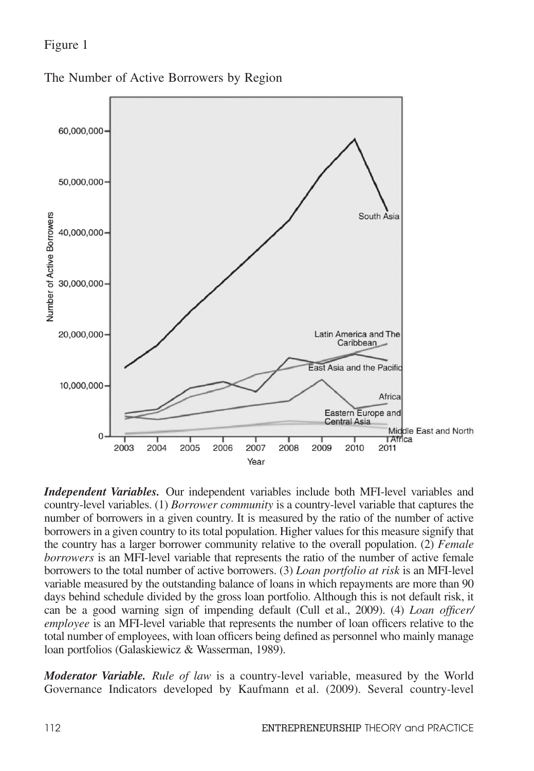



*Independent Variables.* Our independent variables include both MFI-level variables and country-level variables. (1) *Borrower community* is a country-level variable that captures the number of borrowers in a given country. It is measured by the ratio of the number of active borrowers in a given country to its total population. Higher values for this measure signify that the country has a larger borrower community relative to the overall population. (2) *Female borrowers* is an MFI-level variable that represents the ratio of the number of active female borrowers to the total number of active borrowers. (3) *Loan portfolio at risk* is an MFI-level variable measured by the outstanding balance of loans in which repayments are more than 90 days behind schedule divided by the gross loan portfolio. Although this is not default risk, it can be a good warning sign of impending default (Cull et al., 2009). (4) *Loan officer/ employee* is an MFI-level variable that represents the number of loan officers relative to the total number of employees, with loan officers being defined as personnel who mainly manage loan portfolios (Galaskiewicz & Wasserman, 1989).

*Moderator Variable. Rule of law* is a country-level variable, measured by the World Governance Indicators developed by Kaufmann et al. (2009). Several country-level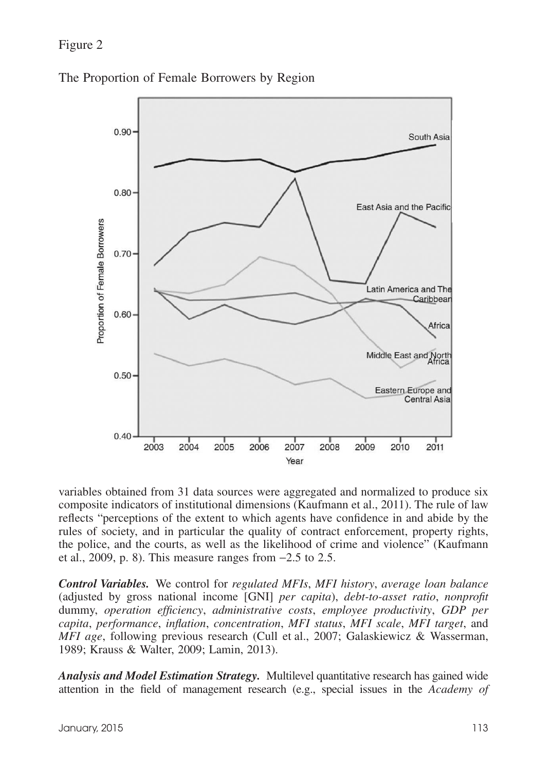



variables obtained from 31 data sources were aggregated and normalized to produce six composite indicators of institutional dimensions (Kaufmann et al., 2011). The rule of law reflects "perceptions of the extent to which agents have confidence in and abide by the rules of society, and in particular the quality of contract enforcement, property rights, the police, and the courts, as well as the likelihood of crime and violence" (Kaufmann et al., 2009, p. 8). This measure ranges from −2.5 to 2.5.

*Control Variables.* We control for *regulated MFIs*, *MFI history*, *average loan balance* (adjusted by gross national income [GNI] *per capita*), *debt-to-asset ratio*, *nonprofit* dummy, *operation efficiency*, *administrative costs*, *employee productivity*, *GDP per capita*, *performance*, *inflation*, *concentration*, *MFI status*, *MFI scale*, *MFI target*, and *MFI age*, following previous research (Cull et al., 2007; Galaskiewicz & Wasserman, 1989; Krauss & Walter, 2009; Lamin, 2013).

*Analysis and Model Estimation Strategy.* Multilevel quantitative research has gained wide attention in the field of management research (e.g., special issues in the *Academy of*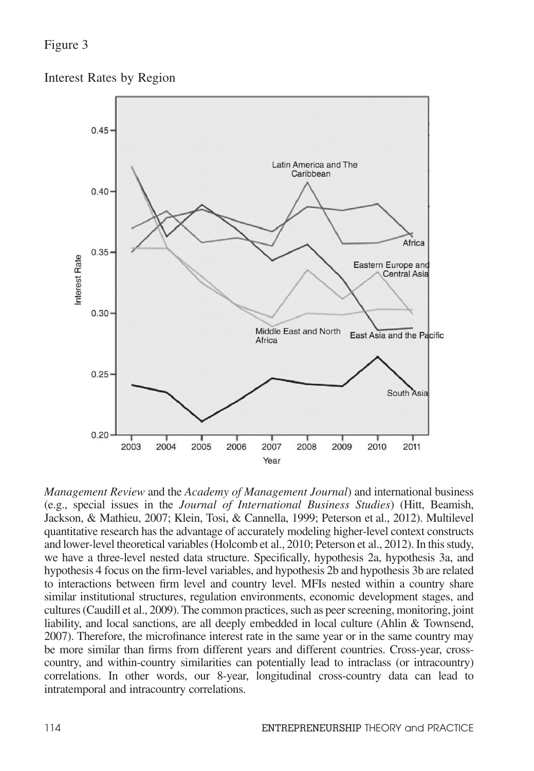



*Management Review* and the *Academy of Management Journal*) and international business (e.g., special issues in the *Journal of International Business Studies*) (Hitt, Beamish, Jackson, & Mathieu, 2007; Klein, Tosi, & Cannella, 1999; Peterson et al., 2012). Multilevel quantitative research has the advantage of accurately modeling higher-level context constructs and lower-level theoretical variables (Holcomb et al., 2010; Peterson et al., 2012). In this study, we have a three-level nested data structure. Specifically, hypothesis 2a, hypothesis 3a, and hypothesis 4 focus on the firm-level variables, and hypothesis 2b and hypothesis 3b are related to interactions between firm level and country level. MFIs nested within a country share similar institutional structures, regulation environments, economic development stages, and cultures (Caudill et al., 2009). The common practices, such as peer screening, monitoring, joint liability, and local sanctions, are all deeply embedded in local culture (Ahlin & Townsend, 2007). Therefore, the microfinance interest rate in the same year or in the same country may be more similar than firms from different years and different countries. Cross-year, crosscountry, and within-country similarities can potentially lead to intraclass (or intracountry) correlations. In other words, our 8-year, longitudinal cross-country data can lead to intratemporal and intracountry correlations.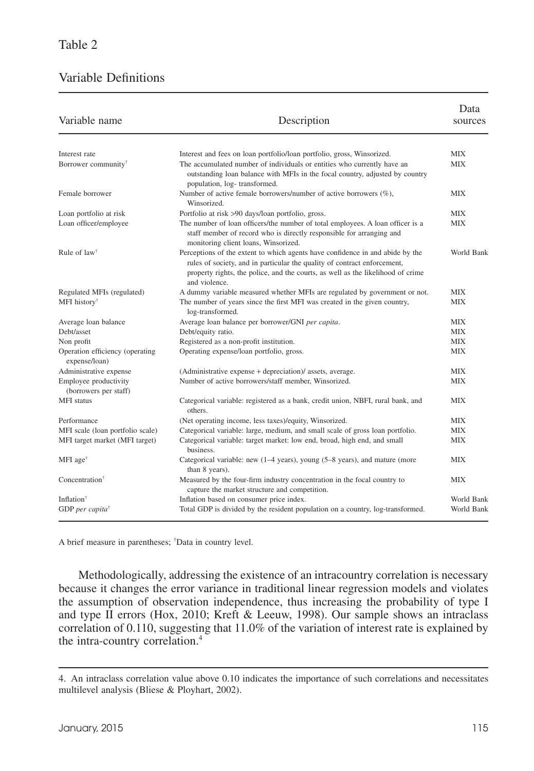# Variable Definitions

| Variable name                                    | Description                                                                                                                                                                                                                                                   | Data<br>sources |
|--------------------------------------------------|---------------------------------------------------------------------------------------------------------------------------------------------------------------------------------------------------------------------------------------------------------------|-----------------|
| Interest rate                                    | Interest and fees on loan portfolio/loan portfolio, gross, Winsorized.                                                                                                                                                                                        | <b>MIX</b>      |
| Borrower community <sup>†</sup>                  | The accumulated number of individuals or entities who currently have an<br>outstanding loan balance with MFIs in the focal country, adjusted by country<br>population, log-transformed.                                                                       | <b>MIX</b>      |
| Female borrower                                  | Number of active female borrowers/number of active borrowers $(\%)$ ,<br>Winsorized.                                                                                                                                                                          | <b>MIX</b>      |
| Loan portfolio at risk                           | Portfolio at risk >90 days/loan portfolio, gross.                                                                                                                                                                                                             | <b>MIX</b>      |
| Loan officer/employee                            | The number of loan officers/the number of total employees. A loan officer is a<br>staff member of record who is directly responsible for arranging and<br>monitoring client loans, Winsorized.                                                                | <b>MIX</b>      |
| Rule of $law^{\dagger}$                          | Perceptions of the extent to which agents have confidence in and abide by the<br>rules of society, and in particular the quality of contract enforcement,<br>property rights, the police, and the courts, as well as the likelihood of crime<br>and violence. | World Bank      |
| Regulated MFIs (regulated)                       | A dummy variable measured whether MFIs are regulated by government or not.                                                                                                                                                                                    | <b>MIX</b>      |
| MFI history <sup>†</sup>                         | The number of years since the first MFI was created in the given country,<br>log-transformed.                                                                                                                                                                 | <b>MIX</b>      |
| Average loan balance                             | Average loan balance per borrower/GNI per capita.                                                                                                                                                                                                             | <b>MIX</b>      |
| Debt/asset                                       | Debt/equity ratio.                                                                                                                                                                                                                                            | <b>MIX</b>      |
| Non profit                                       | Registered as a non-profit institution.                                                                                                                                                                                                                       | <b>MIX</b>      |
| Operation efficiency (operating<br>expense/loan) | Operating expense/loan portfolio, gross.                                                                                                                                                                                                                      | <b>MIX</b>      |
| Administrative expense                           | (Administrative expense + depreciation)/ assets, average.                                                                                                                                                                                                     | <b>MIX</b>      |
| Employee productivity<br>(borrowers per staff)   | Number of active borrowers/staff member, Winsorized.                                                                                                                                                                                                          | <b>MIX</b>      |
| <b>MFI</b> status                                | Categorical variable: registered as a bank, credit union, NBFI, rural bank, and<br>others.                                                                                                                                                                    | <b>MIX</b>      |
| Performance                                      | (Net operating income, less taxes)/equity, Winsorized.                                                                                                                                                                                                        | <b>MIX</b>      |
| MFI scale (loan portfolio scale)                 | Categorical variable: large, medium, and small scale of gross loan portfolio.                                                                                                                                                                                 | <b>MIX</b>      |
| MFI target market (MFI target)                   | Categorical variable: target market: low end, broad, high end, and small<br>business.                                                                                                                                                                         | <b>MIX</b>      |
| MFI age <sup>†</sup>                             | Categorical variable: new (1–4 years), young (5–8 years), and mature (more<br>than 8 years).                                                                                                                                                                  | <b>MIX</b>      |
| Concentration <sup>†</sup>                       | Measured by the four-firm industry concentration in the focal country to<br>capture the market structure and competition.                                                                                                                                     | <b>MIX</b>      |
| Inflation <sup>†</sup>                           | Inflation based on consumer price index.                                                                                                                                                                                                                      | World Bank      |
| GDP per capita <sup>†</sup>                      | Total GDP is divided by the resident population on a country, log-transformed.                                                                                                                                                                                | World Bank      |

A brief measure in parentheses; † Data in country level.

Methodologically, addressing the existence of an intracountry correlation is necessary because it changes the error variance in traditional linear regression models and violates the assumption of observation independence, thus increasing the probability of type I and type II errors (Hox, 2010; Kreft & Leeuw, 1998). Our sample shows an intraclass correlation of 0.110, suggesting that 11.0% of the variation of interest rate is explained by the intra-country correlation.<sup>4</sup>

<sup>4.</sup> An intraclass correlation value above 0.10 indicates the importance of such correlations and necessitates multilevel analysis (Bliese & Ployhart, 2002).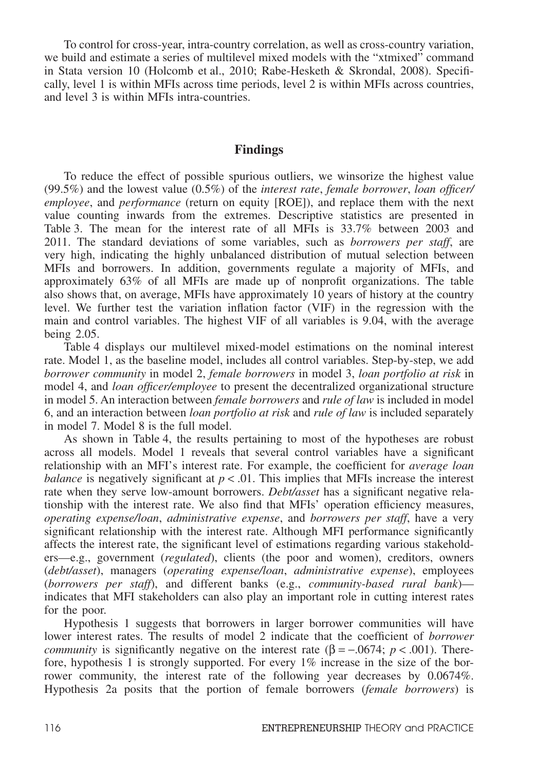To control for cross-year, intra-country correlation, as well as cross-country variation, we build and estimate a series of multilevel mixed models with the "xtmixed" command in Stata version 10 (Holcomb et al., 2010; Rabe-Hesketh & Skrondal, 2008). Specifically, level 1 is within MFIs across time periods, level 2 is within MFIs across countries, and level 3 is within MFIs intra-countries.

## **Findings**

To reduce the effect of possible spurious outliers, we winsorize the highest value (99.5%) and the lowest value (0.5%) of the *interest rate*, *female borrower*, *loan officer/ employee*, and *performance* (return on equity [ROE]), and replace them with the next value counting inwards from the extremes. Descriptive statistics are presented in Table 3. The mean for the interest rate of all MFIs is 33.7% between 2003 and 2011. The standard deviations of some variables, such as *borrowers per staff*, are very high, indicating the highly unbalanced distribution of mutual selection between MFIs and borrowers. In addition, governments regulate a majority of MFIs, and approximately 63% of all MFIs are made up of nonprofit organizations. The table also shows that, on average, MFIs have approximately 10 years of history at the country level. We further test the variation inflation factor (VIF) in the regression with the main and control variables. The highest VIF of all variables is 9.04, with the average being 2.05.

Table 4 displays our multilevel mixed-model estimations on the nominal interest rate. Model 1, as the baseline model, includes all control variables. Step-by-step, we add *borrower community* in model 2, *female borrowers* in model 3, *loan portfolio at risk* in model 4, and *loan officer/employee* to present the decentralized organizational structure in model 5. An interaction between *female borrowers* and *rule of law* is included in model 6, and an interaction between *loan portfolio at risk* and *rule of law* is included separately in model 7. Model 8 is the full model.

As shown in Table 4, the results pertaining to most of the hypotheses are robust across all models. Model 1 reveals that several control variables have a significant relationship with an MFI's interest rate. For example, the coefficient for *average loan balance* is negatively significant at *p* < .01. This implies that MFIs increase the interest rate when they serve low-amount borrowers. *Debt/asset* has a significant negative relationship with the interest rate. We also find that MFIs' operation efficiency measures, *operating expense/loan*, *administrative expense*, and *borrowers per staff*, have a very significant relationship with the interest rate. Although MFI performance significantly affects the interest rate, the significant level of estimations regarding various stakeholders—e.g., government (*regulated*), clients (the poor and women), creditors, owners (*debt/asset*), managers (*operating expense/loan*, *administrative expense*), employees (*borrowers per staff*), and different banks (e.g., *community-based rural bank*) indicates that MFI stakeholders can also play an important role in cutting interest rates for the poor.

Hypothesis 1 suggests that borrowers in larger borrower communities will have lower interest rates. The results of model 2 indicate that the coefficient of *borrower community* is significantly negative on the interest rate ( $\beta = -0.0674$ ; *p* < .001). Therefore, hypothesis 1 is strongly supported. For every 1% increase in the size of the borrower community, the interest rate of the following year decreases by 0.0674%. Hypothesis 2a posits that the portion of female borrowers (*female borrowers*) is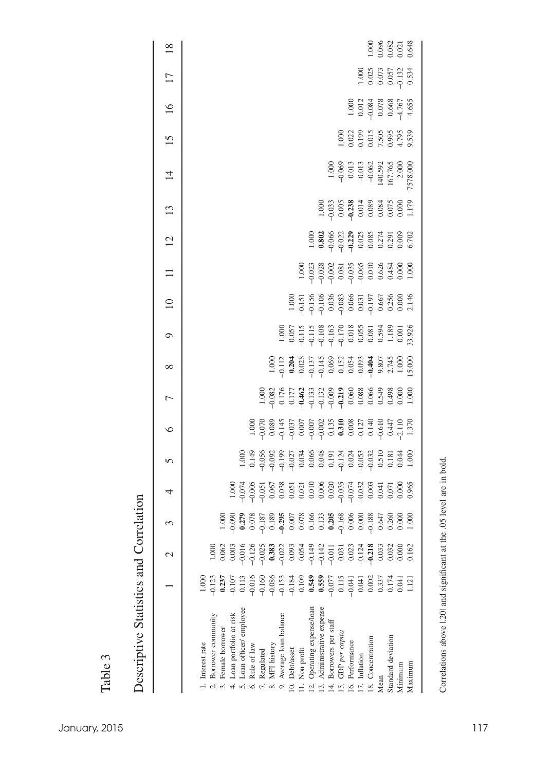|                            |                                                                                                    |                                                             | 3 | 4                                                                                                                                                                                                                                                                                                             | $\overline{5}$                                                                                                                                                                                                                                                                                      | $\circ$ | $\overline{a}$ | $\infty$ | $\circ$                                                                                                                                                                                                                                                                                           | $\overline{10}$ | $\Box$                                                                                                                                                                                                                                                                                                                            | $\overline{2}$                                                                                                                                                                                                                                                                                                                   | 13                                                                                                                                | $\overline{4}$                                                                                                                  | $\overline{15}$                                               | $\overline{16}$                                      | $\overline{17}$                                                                      | $\frac{8}{18}$                   |
|----------------------------|----------------------------------------------------------------------------------------------------|-------------------------------------------------------------|---|---------------------------------------------------------------------------------------------------------------------------------------------------------------------------------------------------------------------------------------------------------------------------------------------------------------|-----------------------------------------------------------------------------------------------------------------------------------------------------------------------------------------------------------------------------------------------------------------------------------------------------|---------|----------------|----------|---------------------------------------------------------------------------------------------------------------------------------------------------------------------------------------------------------------------------------------------------------------------------------------------------|-----------------|-----------------------------------------------------------------------------------------------------------------------------------------------------------------------------------------------------------------------------------------------------------------------------------------------------------------------------------|----------------------------------------------------------------------------------------------------------------------------------------------------------------------------------------------------------------------------------------------------------------------------------------------------------------------------------|-----------------------------------------------------------------------------------------------------------------------------------|---------------------------------------------------------------------------------------------------------------------------------|---------------------------------------------------------------|------------------------------------------------------|--------------------------------------------------------------------------------------|----------------------------------|
|                            |                                                                                                    |                                                             |   |                                                                                                                                                                                                                                                                                                               |                                                                                                                                                                                                                                                                                                     |         |                |          |                                                                                                                                                                                                                                                                                                   |                 |                                                                                                                                                                                                                                                                                                                                   |                                                                                                                                                                                                                                                                                                                                  |                                                                                                                                   |                                                                                                                                 |                                                               |                                                      |                                                                                      |                                  |
| . Interest rate            |                                                                                                    |                                                             |   |                                                                                                                                                                                                                                                                                                               |                                                                                                                                                                                                                                                                                                     |         |                |          |                                                                                                                                                                                                                                                                                                   |                 |                                                                                                                                                                                                                                                                                                                                   |                                                                                                                                                                                                                                                                                                                                  |                                                                                                                                   |                                                                                                                                 |                                                               |                                                      |                                                                                      |                                  |
| Borrower community         | $-0.123$                                                                                           |                                                             |   |                                                                                                                                                                                                                                                                                                               |                                                                                                                                                                                                                                                                                                     |         |                |          |                                                                                                                                                                                                                                                                                                   |                 |                                                                                                                                                                                                                                                                                                                                   |                                                                                                                                                                                                                                                                                                                                  |                                                                                                                                   |                                                                                                                                 |                                                               |                                                      |                                                                                      |                                  |
| 3. Female borrower         | 0.237                                                                                              | 0.062                                                       |   |                                                                                                                                                                                                                                                                                                               |                                                                                                                                                                                                                                                                                                     |         |                |          |                                                                                                                                                                                                                                                                                                   |                 |                                                                                                                                                                                                                                                                                                                                   |                                                                                                                                                                                                                                                                                                                                  |                                                                                                                                   |                                                                                                                                 |                                                               |                                                      |                                                                                      |                                  |
| 4. Loan portfolio at risk  | $-0.107$                                                                                           | 0.003                                                       |   |                                                                                                                                                                                                                                                                                                               |                                                                                                                                                                                                                                                                                                     |         |                |          |                                                                                                                                                                                                                                                                                                   |                 |                                                                                                                                                                                                                                                                                                                                   |                                                                                                                                                                                                                                                                                                                                  |                                                                                                                                   |                                                                                                                                 |                                                               |                                                      |                                                                                      |                                  |
| 5. Loan officer/employee   | 0.113                                                                                              | 0.016                                                       |   | $\begin{array}{l} 1.67 \\ 1.67 \\ 1.67 \\ 1.68 \\ 1.69 \\ 1.61 \\ 1.61 \\ 1.62 \\ 1.63 \\ 1.64 \\ 1.65 \\ 1.67 \\ 1.68 \\ 1.69 \\ 1.61 \\ 1.61 \\ 1.61 \\ 1.62 \\ 1.63 \\ 1.64 \\ 1.65 \\ 1.67 \\ 1.67 \\ 1.68 \\ 1.69 \\ 1.61 \\ 1.61 \\ 1.62 \\ 1.63 \\ 1.64 \\ 1.65 \\ 1.67 \\ 1.68 \\ 1.69 \\ 1.69 \\ 1.$ |                                                                                                                                                                                                                                                                                                     |         |                |          |                                                                                                                                                                                                                                                                                                   |                 |                                                                                                                                                                                                                                                                                                                                   |                                                                                                                                                                                                                                                                                                                                  |                                                                                                                                   |                                                                                                                                 |                                                               |                                                      |                                                                                      |                                  |
| 6. Rule of law             | $-0.016$                                                                                           |                                                             |   |                                                                                                                                                                                                                                                                                                               |                                                                                                                                                                                                                                                                                                     |         |                |          |                                                                                                                                                                                                                                                                                                   |                 |                                                                                                                                                                                                                                                                                                                                   |                                                                                                                                                                                                                                                                                                                                  |                                                                                                                                   |                                                                                                                                 |                                                               |                                                      |                                                                                      |                                  |
| 7. Regulated               |                                                                                                    |                                                             |   |                                                                                                                                                                                                                                                                                                               |                                                                                                                                                                                                                                                                                                     |         |                |          |                                                                                                                                                                                                                                                                                                   |                 |                                                                                                                                                                                                                                                                                                                                   |                                                                                                                                                                                                                                                                                                                                  |                                                                                                                                   |                                                                                                                                 |                                                               |                                                      |                                                                                      |                                  |
| 8. MFI history             | $\begin{array}{c} 60 \\ 700 \\ 600 \\ -151 \\ -613 \\ -184 \\ -109 \\ -190 \\ -109 \\ \end{array}$ | 0.126<br>0.025<br>0.035<br>0.035<br>0.035<br>0.031<br>0.023 |   |                                                                                                                                                                                                                                                                                                               | $\begin{array}{l} 1.026 \\ 0.142 \\ 0.956 \\ 0.921 \\ 0.930 \\ 0.010 \\ 0.010 \\ 0.010 \\ 0.010 \\ 0.010 \\ 0.000 \\ 0.000 \\ 0.010 \\ 0.010 \\ 0.000 \\ 0.010 \\ 0.010 \\ 0.010 \\ 0.010 \\ 0.010 \\ 0.010 \\ 0.010 \\ 0.010 \\ 0.010 \\ 0.010 \\ 0.010 \\ 0.010 \\ 0.010 \\ 0.010 \\ 0.010 \\ 0.$ |         |                |          |                                                                                                                                                                                                                                                                                                   |                 |                                                                                                                                                                                                                                                                                                                                   |                                                                                                                                                                                                                                                                                                                                  |                                                                                                                                   |                                                                                                                                 |                                                               |                                                      |                                                                                      |                                  |
| 9. Average loan balance    |                                                                                                    |                                                             |   |                                                                                                                                                                                                                                                                                                               |                                                                                                                                                                                                                                                                                                     |         |                |          |                                                                                                                                                                                                                                                                                                   |                 |                                                                                                                                                                                                                                                                                                                                   |                                                                                                                                                                                                                                                                                                                                  |                                                                                                                                   |                                                                                                                                 |                                                               |                                                      |                                                                                      |                                  |
| 10. Debt/asset             |                                                                                                    |                                                             |   |                                                                                                                                                                                                                                                                                                               |                                                                                                                                                                                                                                                                                                     |         |                |          |                                                                                                                                                                                                                                                                                                   |                 |                                                                                                                                                                                                                                                                                                                                   |                                                                                                                                                                                                                                                                                                                                  |                                                                                                                                   |                                                                                                                                 |                                                               |                                                      |                                                                                      |                                  |
| 11. Non profit             |                                                                                                    |                                                             |   |                                                                                                                                                                                                                                                                                                               |                                                                                                                                                                                                                                                                                                     |         |                |          |                                                                                                                                                                                                                                                                                                   |                 |                                                                                                                                                                                                                                                                                                                                   |                                                                                                                                                                                                                                                                                                                                  |                                                                                                                                   |                                                                                                                                 |                                                               |                                                      |                                                                                      |                                  |
| 12. Operating expense/loan | 0.549                                                                                              |                                                             |   |                                                                                                                                                                                                                                                                                                               |                                                                                                                                                                                                                                                                                                     |         |                |          |                                                                                                                                                                                                                                                                                                   |                 |                                                                                                                                                                                                                                                                                                                                   |                                                                                                                                                                                                                                                                                                                                  |                                                                                                                                   |                                                                                                                                 |                                                               |                                                      |                                                                                      |                                  |
| 13. Administrative expense | 0.559                                                                                              |                                                             |   |                                                                                                                                                                                                                                                                                                               |                                                                                                                                                                                                                                                                                                     |         |                |          |                                                                                                                                                                                                                                                                                                   |                 |                                                                                                                                                                                                                                                                                                                                   |                                                                                                                                                                                                                                                                                                                                  |                                                                                                                                   |                                                                                                                                 |                                                               |                                                      |                                                                                      |                                  |
| 14. Borrowers per staff    | $-0.077$                                                                                           |                                                             |   |                                                                                                                                                                                                                                                                                                               |                                                                                                                                                                                                                                                                                                     |         |                |          | $\begin{array}{l} 1.000\\ 0.057\\ 0.115\\ -0.115\\ -0.108\\ -0.108\\ -0.035\\ -0.008\\ -0.008\\ -0.001\\ -0.001\\ -0.001\\ -0.001\\ -0.001\\ -0.001\\ -0.001\\ -0.001\\ -0.001\\ -0.001\\ -0.001\\ -0.001\\ -0.001\\ -0.001\\ -0.001\\ -0.001\\ -0.001\\ -0.001\\ -0.001\\ -0.001\\ -0.001\\ -0.$ |                 | $\begin{array}{c} 1.000 \\ -0.023 \\ -0.033 \\ -0.033 \\ -0.035 \\ -0.035 \\ -0.035 \\ -0.035 \\ -0.035 \\ -0.035 \\ -0.000 \\ -0.000 \\ -1.000 \\ -1.000 \\ -1.000 \\ -0.000 \\ -0.000 \\ -0.000 \\ -0.000 \\ -0.000 \\ -0.000 \\ -0.000 \\ -0.000 \\ -0.000 \\ -0.000 \\ -0.000 \\ -0.000 \\ -0.000 \\ -0.000 \\ -0.000 \\ -0.$ | $\begin{array}{l} 1.000 \\ 0.302 \\ -0.005 \\ -0.002 \\ -0.003 \\ -0.003 \\ -0.003 \\ -0.003 \\ -0.003 \\ -0.003 \\ -0.003 \\ -0.003 \\ -0.003 \\ -0.003 \\ -0.003 \\ -0.003 \\ -0.003 \\ -0.003 \\ -0.003 \\ -0.003 \\ -0.003 \\ -0.003 \\ -0.003 \\ -0.003 \\ -0.003 \\ -0.003 \\ -0.003 \\ -0.003 \\ -0.003 \\ -0.003 \\ -0.$ | $\begin{array}{l} 1.000\\ -0.033\\ -0.033\\ 0.005\\ -0.038\\ 0.004\\ 0.008\\ 0.007\\ 0.000\\ 0.001\\ 1.179\\ 1.179\\ \end{array}$ |                                                                                                                                 |                                                               |                                                      |                                                                                      |                                  |
| 15. GDP per capita         | 0.115                                                                                              |                                                             |   |                                                                                                                                                                                                                                                                                                               |                                                                                                                                                                                                                                                                                                     |         |                |          |                                                                                                                                                                                                                                                                                                   |                 |                                                                                                                                                                                                                                                                                                                                   |                                                                                                                                                                                                                                                                                                                                  |                                                                                                                                   |                                                                                                                                 |                                                               |                                                      |                                                                                      |                                  |
| 16. Performance            | $-0.041$                                                                                           |                                                             |   |                                                                                                                                                                                                                                                                                                               |                                                                                                                                                                                                                                                                                                     |         |                |          |                                                                                                                                                                                                                                                                                                   |                 |                                                                                                                                                                                                                                                                                                                                   |                                                                                                                                                                                                                                                                                                                                  |                                                                                                                                   |                                                                                                                                 |                                                               |                                                      |                                                                                      |                                  |
| 17. Inflation              | 0.041                                                                                              | $-0.124$                                                    |   |                                                                                                                                                                                                                                                                                                               |                                                                                                                                                                                                                                                                                                     |         |                |          |                                                                                                                                                                                                                                                                                                   |                 |                                                                                                                                                                                                                                                                                                                                   |                                                                                                                                                                                                                                                                                                                                  |                                                                                                                                   |                                                                                                                                 |                                                               |                                                      |                                                                                      |                                  |
| 18. Concentration          | 0.002                                                                                              | $-0.218$                                                    |   |                                                                                                                                                                                                                                                                                                               |                                                                                                                                                                                                                                                                                                     |         |                |          |                                                                                                                                                                                                                                                                                                   |                 |                                                                                                                                                                                                                                                                                                                                   |                                                                                                                                                                                                                                                                                                                                  |                                                                                                                                   | $\begin{array}{r} 1.000 \\ -0.069 \\ -0.013 \\ -0.013 \\ -0.062 \\ 140.592 \\ 167.765 \\ 2.000 \\ 2.000 \\ 578.000 \end{array}$ | $1.000$<br>0.022<br>0.015<br>0.015<br>7.505<br>7.509<br>4.795 | $1.000$<br>0.012<br>0.034<br>0.078<br>0.668<br>4.655 | $\begin{array}{c} 1.000 \\ 0.025 \\ 0.073 \\ 0.057 \\ 0.637 \\ 0.634 \\ \end{array}$ |                                  |
| Mean                       | 0.337                                                                                              | 0.033                                                       |   |                                                                                                                                                                                                                                                                                                               |                                                                                                                                                                                                                                                                                                     |         |                |          |                                                                                                                                                                                                                                                                                                   |                 |                                                                                                                                                                                                                                                                                                                                   |                                                                                                                                                                                                                                                                                                                                  |                                                                                                                                   |                                                                                                                                 |                                                               |                                                      |                                                                                      |                                  |
| Standard deviation         | 0.174                                                                                              | 0.032                                                       |   |                                                                                                                                                                                                                                                                                                               |                                                                                                                                                                                                                                                                                                     |         |                |          |                                                                                                                                                                                                                                                                                                   |                 |                                                                                                                                                                                                                                                                                                                                   |                                                                                                                                                                                                                                                                                                                                  |                                                                                                                                   |                                                                                                                                 |                                                               |                                                      |                                                                                      | 1.000<br>0.082<br>0.021<br>0.648 |
| Minimum                    | 0.041                                                                                              | 0.000                                                       |   |                                                                                                                                                                                                                                                                                                               |                                                                                                                                                                                                                                                                                                     |         |                |          |                                                                                                                                                                                                                                                                                                   |                 |                                                                                                                                                                                                                                                                                                                                   |                                                                                                                                                                                                                                                                                                                                  |                                                                                                                                   |                                                                                                                                 |                                                               |                                                      |                                                                                      |                                  |
| Maximurr                   | $\frac{12}{2}$                                                                                     | 0.162                                                       |   |                                                                                                                                                                                                                                                                                                               |                                                                                                                                                                                                                                                                                                     |         |                |          |                                                                                                                                                                                                                                                                                                   |                 |                                                                                                                                                                                                                                                                                                                                   |                                                                                                                                                                                                                                                                                                                                  |                                                                                                                                   |                                                                                                                                 |                                                               |                                                      |                                                                                      |                                  |
|                            |                                                                                                    |                                                             |   |                                                                                                                                                                                                                                                                                                               |                                                                                                                                                                                                                                                                                                     |         |                |          |                                                                                                                                                                                                                                                                                                   |                 |                                                                                                                                                                                                                                                                                                                                   |                                                                                                                                                                                                                                                                                                                                  |                                                                                                                                   |                                                                                                                                 |                                                               |                                                      |                                                                                      |                                  |

Correlations above 1.201 and significant at the .05 level are in bold. Correlations above |.20| and significant at the .05 level are in bold.

Table 3

Descriptive Statistics and Correlation

Descriptive Statistics and Correlation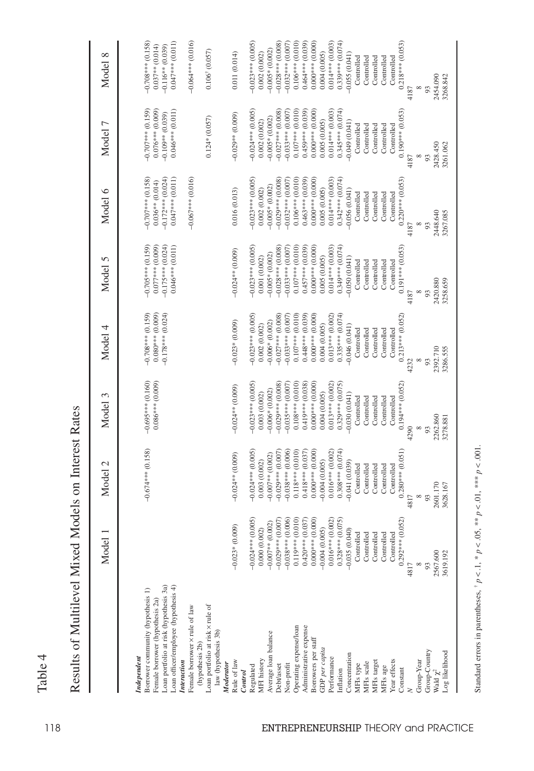Results of Multilevel Mixed Models on Interest Rates Results of Multilevel Mixed Models on Interest Rates

|                                                                     | Model                    | Model 2              | Model 3                                   | Model 4                                   | Model 5                                   | Model 6                                    | Model 7                                   | Model 8                                  |
|---------------------------------------------------------------------|--------------------------|----------------------|-------------------------------------------|-------------------------------------------|-------------------------------------------|--------------------------------------------|-------------------------------------------|------------------------------------------|
|                                                                     |                          |                      |                                           |                                           |                                           |                                            |                                           |                                          |
| Independent                                                         |                          |                      |                                           |                                           |                                           |                                            |                                           |                                          |
| Borrower community (hypothesis 1)<br>emale borrower (hypothesis 2a) |                          | $-0.674***$ (0.158)  | $-0.695***$ (0.160)<br>$0.086***$ (0.009) | $-0.708***$ (0.159)<br>$0.080***$ (0.009) | $-0.705***$ (0.159)<br>$0.077***$ (0.009) | $-0.707***$ (0.158)<br>$0.036**$ $(0.014)$ | $-0.707***$ (0.159)<br>$0.076***$ (0.009) | $-0.708***$ (0.158)<br>$0.037**$ (0.014) |
| oan portfolio at risk (hypothesis 3a)                               |                          |                      |                                           | $-0.178***$ (0.024)                       | $-0.175***$ (0.024)                       | $-0.172***$ (0.024)                        | $-0.109**$ (0.039)                        | $-0.116**$ (0.039)                       |
| oan officer/employee (hypothesis 4)                                 |                          |                      |                                           |                                           | $0.046***$ (0.011)                        | $0.047***$ (0.011)                         | $0.046***$ (0.011)                        | $0.047***$ (0.011)                       |
| nteraction                                                          |                          |                      |                                           |                                           |                                           |                                            |                                           |                                          |
| emale borrower x rule of law                                        |                          |                      |                                           |                                           |                                           | $-0.067***$ (0.016)                        |                                           | $-0.064***$ (0.016)                      |
| (hypothesis 2b)                                                     |                          |                      |                                           |                                           |                                           |                                            |                                           |                                          |
| oan portfolio at risk × rule of<br>law (hypothesis 3b)              |                          |                      |                                           |                                           |                                           |                                            | $0.124*(0.057)$                           | $0.106^{\dagger} (0.057)$                |
| Moderator                                                           |                          |                      |                                           |                                           |                                           |                                            |                                           |                                          |
| Rule of law                                                         | $-0.023*(0.009)$         | $-0.024**$ (0.009)   | $-0.024**$ (0.009)                        | $-0.023*(0.009)$                          | $-0.024**$ (0.009)                        | 0.016(0.013)                               | $-0.029**$ (0.009)                        | 0.011(0.014)                             |
| <b>Control</b>                                                      |                          |                      |                                           |                                           |                                           |                                            |                                           |                                          |
| Regulated                                                           | $-0.024***$ (0.005)      | $-0.024***$ (0.005)  | $-0.023***$ (0.005)                       | $-0.023***$ (0.005)                       | $-0.023***$ (0.005)                       | $-0.023***$ (0.005)                        | $-0.024***$ (0.005)                       | $-0.023***$ (0.005)                      |
| <b>MFI</b> history                                                  | 0.000(0.002)             | 0.003(0.002)         | 0.003(0.002)                              | 0.002(0.002)                              | 0.001(0.002)                              | 0.002(0.002)                               | 0.002(0.002)                              | 0.002(0.002)                             |
| Average loan balance                                                | $-0.007**$ (0.002)       | $-0.007**$ (0.002)   | $-0.006*$ (0.002)                         | $-0.006*(0.002)$                          | $-0.005*(0.002)$                          | $-0.005*$ (0.002)                          | $-0.005*$ (0.002)                         | $-0.005*(0.002)$                         |
| <b>Debt/asset</b>                                                   | $-0.029***$ (0.007)      | $-0.029***$ (0.007)  | $-0.029***$ (0.008)                       | $-0.027***$ (0.008)                       | $-0.028***$ (0.008)                       | $-0.029***$ (0.008)                        | $-0.027***$ (0.008)                       | $-0.028***$ (0.008)                      |
| Non-profit                                                          | $-0.038***$ (0.006)      | $-0.038***$ (0.006)  | $-0.035***$ (0.007)                       | $-0.033***$ (0.007)                       | $-0.033***$ (0.007)                       | $-0.032***$ (0.007)                        | $-0.033***$ (0.007)                       | $-0.032***$ (0.007)                      |
| Operating expense/loan                                              | 0.010<br>$0.119***$      | $0.118***$ (0.010)   | $0.108***$ (0.010)                        | $0.107***$ (0.010)                        | $0.107***$ (0.010)                        | $0.106***$ (0.010)                         | $0.107***$ (0.010)                        | $0.106***$ (0.010)                       |
| Administrative expense                                              | (0.037)<br>$0.420***$    | $0.418***$ (0.037)   | $0.419***$ (0.038)                        | $0.448***$ (0.039)                        | $0.457***$ (0.039)                        | $0.463***$ (0.039)                         | $0.459***$ $(0.039)$                      | $0.464***$ $(0.039)$                     |
| 3orrowers per staff                                                 | (0.000)<br>$0.000**$     | $0.000***00.000$     | $0.000***$ (0.000)                        | $0.000***$ (0.000)                        | $0.000$ *** $(0.000)$                     | $0.000$ *** $(0.000)$                      | $0.000***00.000$                          | $0.000***$ (0.000)                       |
| <b>GDP</b> per capita                                               | $-0.004(0.005)$          | $-0.004(0.005)$      | 0.004(0.005)                              | 0.004(0.005)                              | 0.005(0.005)                              | 0.005(0.005)                               | 0.005(0.005)                              | 0.004(0.005)                             |
| <b>Performance</b>                                                  | $0.016***$ (0.002)       | $0.016***$ (0.002)   | $0.013***$ $(0.002)$                      | $0.013***$ (0.002)                        | $0.014***$ (0.003)                        | $0.014***$ (0.003)                         | $0.014***$ (0.003)                        | $0.014***$ (0.003)                       |
| nflation                                                            | $0.328***$ (0.075)       | $0.308***$ (0.074)   | $0.329***$ $(0.075)$                      | $0.335***$ (0.074)                        | $0.349***$ $(0.074)$                      | $0.342***$ (0.074)                         | $0.345***$ $(0.074)$                      | $0.339***$ $(0.074)$                     |
| Concentration                                                       | $-0.035(0.040)$          | $-0.041(0.039)$      | $-0.030(0.041)$                           | $-0.046(0.041)$                           | $-0.050(0.041)$                           | $-0.056(0.041)$                            | $-0.049(0.041)$                           | $-0.055(0.041)$                          |
| MFIs type                                                           | Controlled               | Controlled           | Controlled                                | Controlled                                | Controlled                                | Controlled                                 | Controlled                                | Controlled                               |
| MFIs scale                                                          | Controlled<br>Controlled | Controlled           | Controlled                                | Controlled                                | Controlled                                | Controlled                                 | Controlled                                | Controlled                               |
| <b>MFIs</b> target                                                  |                          | Controlled           | Controlled                                | Controlled                                | Controlled                                | Controlled                                 | Controlled                                | Controlled                               |
| MFIs age                                                            | Controlled               | Controlled           | Controlled                                | Controlled                                | Controlled                                | Controlled                                 | Controlled                                | Controlled                               |
| fear effects                                                        | Controlled               | Controlled           | Controlled                                | Controlled                                | Controlled                                | Controlled                                 | Controlled                                | Controlled                               |
| Constant                                                            | $0.292***(0.052)$        | $0.280***$ $(0.051)$ | $0.194***$ (0.052)                        | $0.213***$ $(0.052)$                      | $0.191***$ (0.053)                        | $0.220***$ (0.053)                         | $0.190***$ $(0.053)$                      | $0.218***$ (0.053)                       |
|                                                                     | 4817                     | 4817                 | 4290                                      | 4232                                      | 4187                                      | 4187                                       | 4187                                      | 4187                                     |
| Group-Year                                                          | $^{\circ}$               | $\infty$             | $^{\circ}$                                |                                           | $\infty$                                  | $\infty$                                   | $\infty$                                  | $\infty$                                 |
| Group-Country                                                       | 93                       | 93                   | 93                                        | 93                                        | 93                                        | 93                                         | 93                                        | 93                                       |
| Wald $\chi^2$                                                       | 2567.600                 | 2601.170             | 2262.860                                  | 2392.710                                  | 2420.880                                  | 2448.640                                   | 2428.450                                  | 2454.090                                 |
| Log likelihood                                                      | 3619.192                 | 3628.167             | 3278.881                                  | 3286.555                                  | 3258.659                                  | 3267.085                                   | 3261.062                                  | 3268.842                                 |

Standard errors in parentheses,  $\dot{p} < 0.1$ ,  $\dot{p} < 0.05$ ,  $\dot{p} \dot{p} < 0.01$ ,  $\dot{p} \dot{p} \dot{p} < 0.01$ . Standard errors in parentheses,  $\gamma p < 0.1$ ,  $\gamma p < 0.05$ ,  $\gamma p < 0.01$ ,  $\gamma p \ll 0.001$ .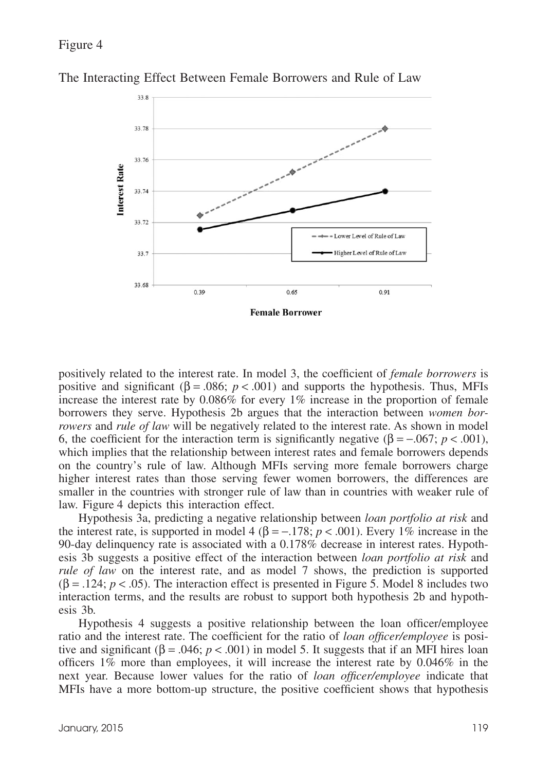

The Interacting Effect Between Female Borrowers and Rule of Law

positively related to the interest rate. In model 3, the coefficient of *female borrowers* is positive and significant  $(\beta = .086; p < .001)$  and supports the hypothesis. Thus, MFIs increase the interest rate by 0.086% for every 1% increase in the proportion of female borrowers they serve. Hypothesis 2b argues that the interaction between *women borrowers* and *rule of law* will be negatively related to the interest rate. As shown in model 6, the coefficient for the interaction term is significantly negative  $(\beta = -.067; p < .001)$ , which implies that the relationship between interest rates and female borrowers depends on the country's rule of law. Although MFIs serving more female borrowers charge higher interest rates than those serving fewer women borrowers, the differences are smaller in the countries with stronger rule of law than in countries with weaker rule of law. Figure 4 depicts this interaction effect.

Hypothesis 3a, predicting a negative relationship between *loan portfolio at risk* and the interest rate, is supported in model 4 ( $\beta$  = -.178; *p* < .001). Every 1% increase in the 90-day delinquency rate is associated with a 0.178% decrease in interest rates. Hypothesis 3b suggests a positive effect of the interaction between *loan portfolio at risk* and *rule of law* on the interest rate, and as model 7 shows, the prediction is supported  $(\beta = .124; p < .05)$ . The interaction effect is presented in Figure 5. Model 8 includes two interaction terms, and the results are robust to support both hypothesis 2b and hypothesis 3b.

Hypothesis 4 suggests a positive relationship between the loan officer/employee ratio and the interest rate. The coefficient for the ratio of *loan officer/employee* is positive and significant  $(\beta = .046; p < .001)$  in model 5. It suggests that if an MFI hires loan officers 1% more than employees, it will increase the interest rate by 0.046% in the next year. Because lower values for the ratio of *loan officer/employee* indicate that MFIs have a more bottom-up structure, the positive coefficient shows that hypothesis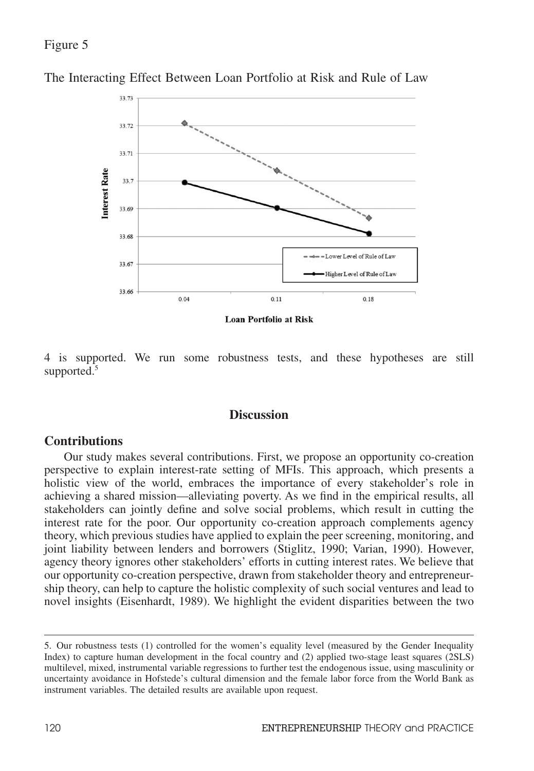

The Interacting Effect Between Loan Portfolio at Risk and Rule of Law

**Loan Portfolio at Risk** 

4 is supported. We run some robustness tests, and these hypotheses are still supported.<sup>5</sup>

## **Discussion**

## **Contributions**

Our study makes several contributions. First, we propose an opportunity co-creation perspective to explain interest-rate setting of MFIs. This approach, which presents a holistic view of the world, embraces the importance of every stakeholder's role in achieving a shared mission—alleviating poverty. As we find in the empirical results, all stakeholders can jointly define and solve social problems, which result in cutting the interest rate for the poor. Our opportunity co-creation approach complements agency theory, which previous studies have applied to explain the peer screening, monitoring, and joint liability between lenders and borrowers (Stiglitz, 1990; Varian, 1990). However, agency theory ignores other stakeholders' efforts in cutting interest rates. We believe that our opportunity co-creation perspective, drawn from stakeholder theory and entrepreneurship theory, can help to capture the holistic complexity of such social ventures and lead to novel insights (Eisenhardt, 1989). We highlight the evident disparities between the two

<sup>5.</sup> Our robustness tests (1) controlled for the women's equality level (measured by the Gender Inequality Index) to capture human development in the focal country and (2) applied two-stage least squares (2SLS) multilevel, mixed, instrumental variable regressions to further test the endogenous issue, using masculinity or uncertainty avoidance in Hofstede's cultural dimension and the female labor force from the World Bank as instrument variables. The detailed results are available upon request.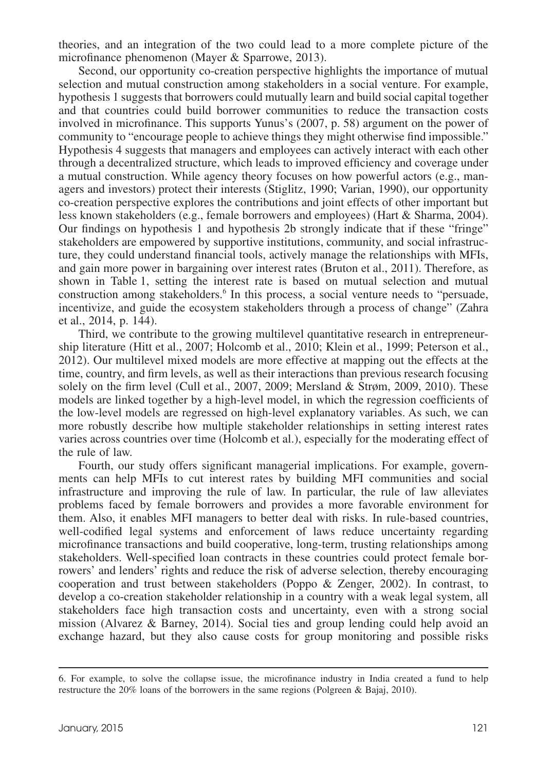theories, and an integration of the two could lead to a more complete picture of the microfinance phenomenon (Mayer & Sparrowe, 2013).

Second, our opportunity co-creation perspective highlights the importance of mutual selection and mutual construction among stakeholders in a social venture. For example, hypothesis 1 suggests that borrowers could mutually learn and build social capital together and that countries could build borrower communities to reduce the transaction costs involved in microfinance. This supports Yunus's (2007, p. 58) argument on the power of community to "encourage people to achieve things they might otherwise find impossible." Hypothesis 4 suggests that managers and employees can actively interact with each other through a decentralized structure, which leads to improved efficiency and coverage under a mutual construction. While agency theory focuses on how powerful actors (e.g., managers and investors) protect their interests (Stiglitz, 1990; Varian, 1990), our opportunity co-creation perspective explores the contributions and joint effects of other important but less known stakeholders (e.g., female borrowers and employees) (Hart & Sharma, 2004). Our findings on hypothesis 1 and hypothesis 2b strongly indicate that if these "fringe" stakeholders are empowered by supportive institutions, community, and social infrastructure, they could understand financial tools, actively manage the relationships with MFIs, and gain more power in bargaining over interest rates (Bruton et al., 2011). Therefore, as shown in Table 1, setting the interest rate is based on mutual selection and mutual construction among stakeholders.<sup>6</sup> In this process, a social venture needs to "persuade, incentivize, and guide the ecosystem stakeholders through a process of change" (Zahra et al., 2014, p. 144).

Third, we contribute to the growing multilevel quantitative research in entrepreneurship literature (Hitt et al., 2007; Holcomb et al., 2010; Klein et al., 1999; Peterson et al., 2012). Our multilevel mixed models are more effective at mapping out the effects at the time, country, and firm levels, as well as their interactions than previous research focusing solely on the firm level (Cull et al., 2007, 2009; Mersland & Strøm, 2009, 2010). These models are linked together by a high-level model, in which the regression coefficients of the low-level models are regressed on high-level explanatory variables. As such, we can more robustly describe how multiple stakeholder relationships in setting interest rates varies across countries over time (Holcomb et al.), especially for the moderating effect of the rule of law.

Fourth, our study offers significant managerial implications. For example, governments can help MFIs to cut interest rates by building MFI communities and social infrastructure and improving the rule of law. In particular, the rule of law alleviates problems faced by female borrowers and provides a more favorable environment for them. Also, it enables MFI managers to better deal with risks. In rule-based countries, well-codified legal systems and enforcement of laws reduce uncertainty regarding microfinance transactions and build cooperative, long-term, trusting relationships among stakeholders. Well-specified loan contracts in these countries could protect female borrowers' and lenders' rights and reduce the risk of adverse selection, thereby encouraging cooperation and trust between stakeholders (Poppo  $\&$  Zenger, 2002). In contrast, to develop a co-creation stakeholder relationship in a country with a weak legal system, all stakeholders face high transaction costs and uncertainty, even with a strong social mission (Alvarez & Barney, 2014). Social ties and group lending could help avoid an exchange hazard, but they also cause costs for group monitoring and possible risks

<sup>6.</sup> For example, to solve the collapse issue, the microfinance industry in India created a fund to help restructure the 20% loans of the borrowers in the same regions (Polgreen & Bajaj, 2010).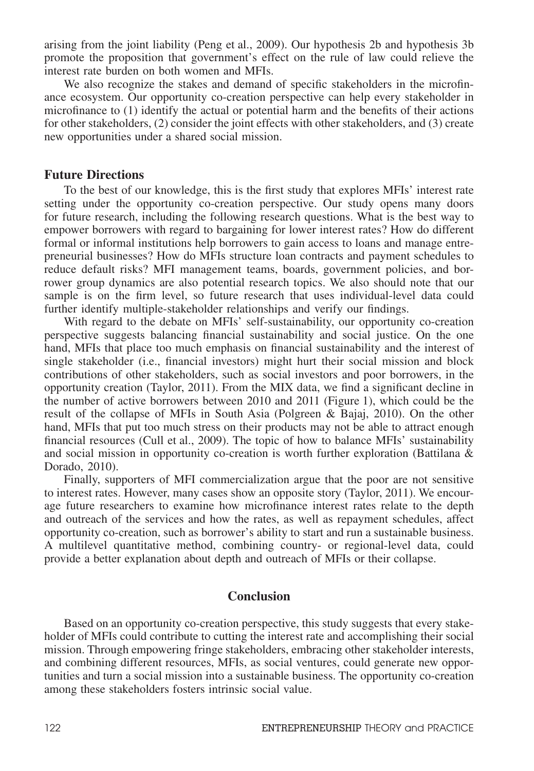arising from the joint liability (Peng et al., 2009). Our hypothesis 2b and hypothesis 3b promote the proposition that government's effect on the rule of law could relieve the interest rate burden on both women and MFIs.

We also recognize the stakes and demand of specific stakeholders in the microfinance ecosystem. Our opportunity co-creation perspective can help every stakeholder in microfinance to (1) identify the actual or potential harm and the benefits of their actions for other stakeholders, (2) consider the joint effects with other stakeholders, and (3) create new opportunities under a shared social mission.

## **Future Directions**

To the best of our knowledge, this is the first study that explores MFIs' interest rate setting under the opportunity co-creation perspective. Our study opens many doors for future research, including the following research questions. What is the best way to empower borrowers with regard to bargaining for lower interest rates? How do different formal or informal institutions help borrowers to gain access to loans and manage entrepreneurial businesses? How do MFIs structure loan contracts and payment schedules to reduce default risks? MFI management teams, boards, government policies, and borrower group dynamics are also potential research topics. We also should note that our sample is on the firm level, so future research that uses individual-level data could further identify multiple-stakeholder relationships and verify our findings.

With regard to the debate on MFIs' self-sustainability, our opportunity co-creation perspective suggests balancing financial sustainability and social justice. On the one hand, MFIs that place too much emphasis on financial sustainability and the interest of single stakeholder (i.e., financial investors) might hurt their social mission and block contributions of other stakeholders, such as social investors and poor borrowers, in the opportunity creation (Taylor, 2011). From the MIX data, we find a significant decline in the number of active borrowers between 2010 and 2011 (Figure 1), which could be the result of the collapse of MFIs in South Asia (Polgreen & Bajaj, 2010). On the other hand, MFIs that put too much stress on their products may not be able to attract enough financial resources (Cull et al., 2009). The topic of how to balance MFIs' sustainability and social mission in opportunity co-creation is worth further exploration (Battilana & Dorado, 2010).

Finally, supporters of MFI commercialization argue that the poor are not sensitive to interest rates. However, many cases show an opposite story (Taylor, 2011). We encourage future researchers to examine how microfinance interest rates relate to the depth and outreach of the services and how the rates, as well as repayment schedules, affect opportunity co-creation, such as borrower's ability to start and run a sustainable business. A multilevel quantitative method, combining country- or regional-level data, could provide a better explanation about depth and outreach of MFIs or their collapse.

## **Conclusion**

Based on an opportunity co-creation perspective, this study suggests that every stakeholder of MFIs could contribute to cutting the interest rate and accomplishing their social mission. Through empowering fringe stakeholders, embracing other stakeholder interests, and combining different resources, MFIs, as social ventures, could generate new opportunities and turn a social mission into a sustainable business. The opportunity co-creation among these stakeholders fosters intrinsic social value.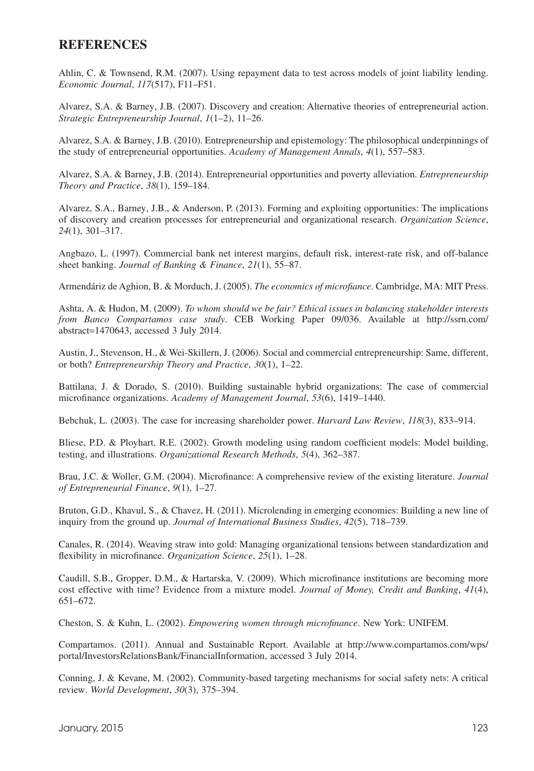## **REFERENCES**

Ahlin, C. & Townsend, R.M. (2007). Using repayment data to test across models of joint liability lending. *Economic Journal*, *117*(517), F11–F51.

Alvarez, S.A. & Barney, J.B. (2007). Discovery and creation: Alternative theories of entrepreneurial action. *Strategic Entrepreneurship Journal*, *1*(1–2), 11–26.

Alvarez, S.A. & Barney, J.B. (2010). Entrepreneurship and epistemology: The philosophical underpinnings of the study of entrepreneurial opportunities. *Academy of Management Annals*, *4*(1), 557–583.

Alvarez, S.A. & Barney, J.B. (2014). Entrepreneurial opportunities and poverty alleviation. *Entrepreneurship Theory and Practice*, *38*(1), 159–184.

Alvarez, S.A., Barney, J.B., & Anderson, P. (2013). Forming and exploiting opportunities: The implications of discovery and creation processes for entrepreneurial and organizational research. *Organization Science*, *24*(1), 301–317.

Angbazo, L. (1997). Commercial bank net interest margins, default risk, interest-rate risk, and off-balance sheet banking. *Journal of Banking & Finance*, *21*(1), 55–87.

Armendáriz de Aghion, B. & Morduch, J. (2005). *The economics of microfiance*. Cambridge, MA: MIT Press.

Ashta, A. & Hudon, M. (2009). *To whom should we be fair? Ethical issues in balancing stakeholder interests from Banco Compartamos case study*. CEB Working Paper 09/036. Available at http://ssrn.com/ abstract=1470643, accessed 3 July 2014.

Austin, J., Stevenson, H., & Wei-Skillern, J. (2006). Social and commercial entrepreneurship: Same, different, or both? *Entrepreneurship Theory and Practice*, *30*(1), 1–22.

Battilana, J. & Dorado, S. (2010). Building sustainable hybrid organizations: The case of commercial microfinance organizations. *Academy of Management Journal*, *53*(6), 1419–1440.

Bebchuk, L. (2003). The case for increasing shareholder power. *Harvard Law Review*, *118*(3), 833–914.

Bliese, P.D. & Ployhart, R.E. (2002). Growth modeling using random coefficient models: Model building, testing, and illustrations. *Organizational Research Methods*, *5*(4), 362–387.

Brau, J.C. & Woller, G.M. (2004). Microfinance: A comprehensive review of the existing literature. *Journal of Entrepreneurial Finance*, *9*(1), 1–27.

Bruton, G.D., Khavul, S., & Chavez, H. (2011). Microlending in emerging economies: Building a new line of inquiry from the ground up. *Journal of International Business Studies*, *42*(5), 718–739.

Canales, R. (2014). Weaving straw into gold: Managing organizational tensions between standardization and flexibility in microfinance. *Organization Science*, *25*(1), 1–28.

Caudill, S.B., Gropper, D.M., & Hartarska, V. (2009). Which microfinance institutions are becoming more cost effective with time? Evidence from a mixture model. *Journal of Money, Credit and Banking*, *41*(4), 651–672.

Cheston, S. & Kuhn, L. (2002). *Empowering women through microfinance*. New York: UNIFEM.

Compartamos. (2011). Annual and Sustainable Report. Available at http://www.compartamos.com/wps/ portal/InvestorsRelationsBank/FinancialInformation, accessed 3 July 2014.

Conning, J. & Kevane, M. (2002). Community-based targeting mechanisms for social safety nets: A critical review. *World Development*, *30*(3), 375–394.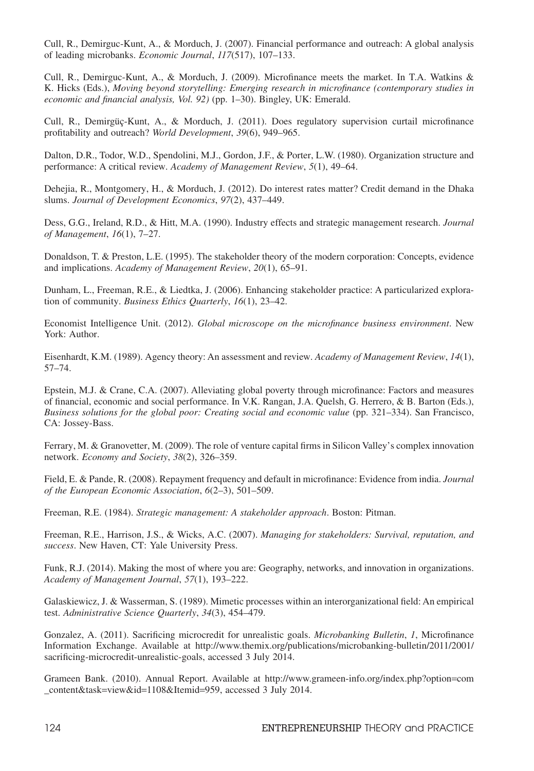Cull, R., Demirguc-Kunt, A., & Morduch, J. (2007). Financial performance and outreach: A global analysis of leading microbanks. *Economic Journal*, *117*(517), 107–133.

Cull, R., Demirguc-Kunt, A., & Morduch, J. (2009). Microfinance meets the market. In T.A. Watkins & K. Hicks (Eds.), *Moving beyond storytelling: Emerging research in microfinance (contemporary studies in economic and financial analysis, Vol. 92)* (pp. 1–30). Bingley, UK: Emerald.

Cull, R., Demirgüç-Kunt, A., & Morduch, J. (2011). Does regulatory supervision curtail microfinance profitability and outreach? *World Development*, *39*(6), 949–965.

Dalton, D.R., Todor, W.D., Spendolini, M.J., Gordon, J.F., & Porter, L.W. (1980). Organization structure and performance: A critical review. *Academy of Management Review*, *5*(1), 49–64.

Dehejia, R., Montgomery, H., & Morduch, J. (2012). Do interest rates matter? Credit demand in the Dhaka slums. *Journal of Development Economics*, *97*(2), 437–449.

Dess, G.G., Ireland, R.D., & Hitt, M.A. (1990). Industry effects and strategic management research. *Journal of Management*, *16*(1), 7–27.

Donaldson, T. & Preston, L.E. (1995). The stakeholder theory of the modern corporation: Concepts, evidence and implications. *Academy of Management Review*, *20*(1), 65–91.

Dunham, L., Freeman, R.E., & Liedtka, J. (2006). Enhancing stakeholder practice: A particularized exploration of community. *Business Ethics Quarterly*, *16*(1), 23–42.

Economist Intelligence Unit. (2012). *Global microscope on the microfinance business environment*. New York: Author.

Eisenhardt, K.M. (1989). Agency theory: An assessment and review. *Academy of Management Review*, *14*(1), 57–74.

Epstein, M.J. & Crane, C.A. (2007). Alleviating global poverty through microfinance: Factors and measures of financial, economic and social performance. In V.K. Rangan, J.A. Quelsh, G. Herrero, & B. Barton (Eds.), *Business solutions for the global poor: Creating social and economic value* (pp. 321–334). San Francisco, CA: Jossey-Bass.

Ferrary, M. & Granovetter, M. (2009). The role of venture capital firms in Silicon Valley's complex innovation network. *Economy and Society*, *38*(2), 326–359.

Field, E. & Pande, R. (2008). Repayment frequency and default in microfinance: Evidence from india. *Journal of the European Economic Association*, *6*(2–3), 501–509.

Freeman, R.E. (1984). *Strategic management: A stakeholder approach*. Boston: Pitman.

Freeman, R.E., Harrison, J.S., & Wicks, A.C. (2007). *Managing for stakeholders: Survival, reputation, and success*. New Haven, CT: Yale University Press.

Funk, R.J. (2014). Making the most of where you are: Geography, networks, and innovation in organizations. *Academy of Management Journal*, *57*(1), 193–222.

Galaskiewicz, J. & Wasserman, S. (1989). Mimetic processes within an interorganizational field: An empirical test. *Administrative Science Quarterly*, *34*(3), 454–479.

Gonzalez, A. (2011). Sacrificing microcredit for unrealistic goals. *Microbanking Bulletin*, *1*, Microfinance Information Exchange. Available at http://www.themix.org/publications/microbanking-bulletin/2011/2001/ sacrificing-microcredit-unrealistic-goals, accessed 3 July 2014.

Grameen Bank. (2010). Annual Report. Available at http://www.grameen-info.org/index.php?option=com \_content&task=view&id=1108&Itemid=959, accessed 3 July 2014.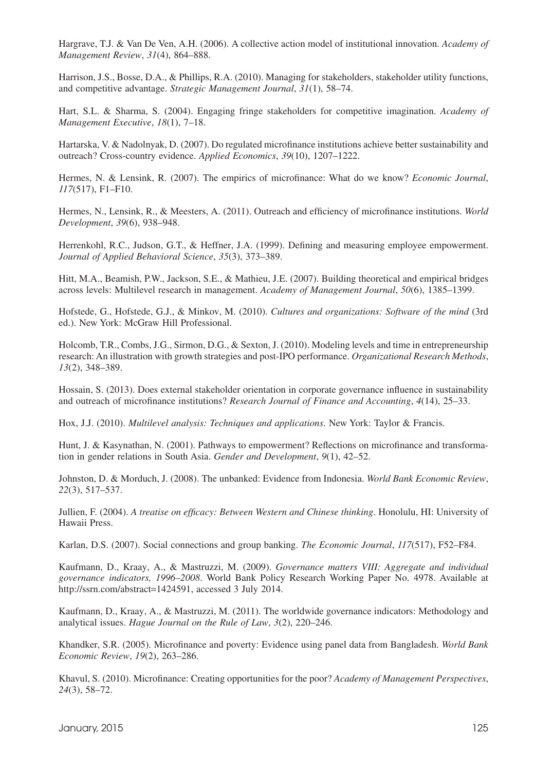Hargrave, T.J. & Van De Ven, A.H. (2006). A collective action model of institutional innovation. *Academy of Management Review*, *31*(4), 864–888.

Harrison, J.S., Bosse, D.A., & Phillips, R.A. (2010). Managing for stakeholders, stakeholder utility functions, and competitive advantage. *Strategic Management Journal*, *31*(1), 58–74.

Hart, S.L. & Sharma, S. (2004). Engaging fringe stakeholders for competitive imagination. *Academy of Management Executive*, *18*(1), 7–18.

Hartarska, V. & Nadolnyak, D. (2007). Do regulated microfinance institutions achieve better sustainability and outreach? Cross-country evidence. *Applied Economics*, *39*(10), 1207–1222.

Hermes, N. & Lensink, R. (2007). The empirics of microfinance: What do we know? *Economic Journal*, *117*(517), F1–F10.

Hermes, N., Lensink, R., & Meesters, A. (2011). Outreach and efficiency of microfinance institutions. *World Development*, *39*(6), 938–948.

Herrenkohl, R.C., Judson, G.T., & Heffner, J.A. (1999). Defining and measuring employee empowerment. *Journal of Applied Behavioral Science*, *35*(3), 373–389.

Hitt, M.A., Beamish, P.W., Jackson, S.E., & Mathieu, J.E. (2007). Building theoretical and empirical bridges across levels: Multilevel research in management. *Academy of Management Journal*, *50*(6), 1385–1399.

Hofstede, G., Hofstede, G.J., & Minkov, M. (2010). *Cultures and organizations: Software of the mind* (3rd ed.). New York: McGraw Hill Professional.

Holcomb, T.R., Combs, J.G., Sirmon, D.G., & Sexton, J. (2010). Modeling levels and time in entrepreneurship research: An illustration with growth strategies and post-IPO performance. *Organizational Research Methods*, *13*(2), 348–389.

Hossain, S. (2013). Does external stakeholder orientation in corporate governance influence in sustainability and outreach of microfinance institutions? *Research Journal of Finance and Accounting*, *4*(14), 25–33.

Hox, J.J. (2010). *Multilevel analysis: Techniques and applications*. New York: Taylor & Francis.

Hunt, J. & Kasynathan, N. (2001). Pathways to empowerment? Reflections on microfinance and transformation in gender relations in South Asia. *Gender and Development*, *9*(1), 42–52.

Johnston, D. & Morduch, J. (2008). The unbanked: Evidence from Indonesia. *World Bank Economic Review*, *22*(3), 517–537.

Jullien, F. (2004). *A treatise on efficacy: Between Western and Chinese thinking*. Honolulu, HI: University of Hawaii Press.

Karlan, D.S. (2007). Social connections and group banking. *The Economic Journal*, *117*(517), F52–F84.

Kaufmann, D., Kraay, A., & Mastruzzi, M. (2009). *Governance matters VIII: Aggregate and individual governance indicators, 1996–2008*. World Bank Policy Research Working Paper No. 4978. Available at http://ssrn.com/abstract=1424591, accessed 3 July 2014.

Kaufmann, D., Kraay, A., & Mastruzzi, M. (2011). The worldwide governance indicators: Methodology and analytical issues. *Hague Journal on the Rule of Law*, *3*(2), 220–246.

Khandker, S.R. (2005). Microfinance and poverty: Evidence using panel data from Bangladesh. *World Bank Economic Review*, *19*(2), 263–286.

Khavul, S. (2010). Microfinance: Creating opportunities for the poor? *Academy of Management Perspectives*, *24*(3), 58–72.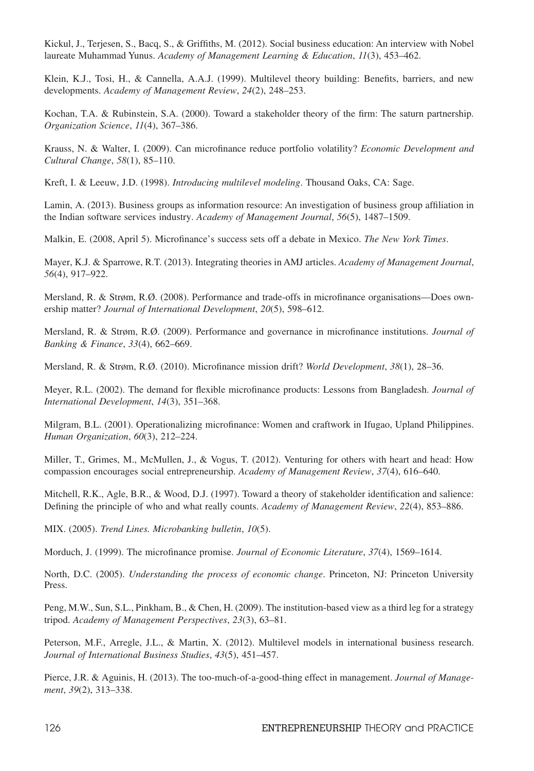Kickul, J., Terjesen, S., Bacq, S., & Griffiths, M. (2012). Social business education: An interview with Nobel laureate Muhammad Yunus. *Academy of Management Learning & Education*, *11*(3), 453–462.

Klein, K.J., Tosi, H., & Cannella, A.A.J. (1999). Multilevel theory building: Benefits, barriers, and new developments. *Academy of Management Review*, *24*(2), 248–253.

Kochan, T.A. & Rubinstein, S.A. (2000). Toward a stakeholder theory of the firm: The saturn partnership. *Organization Science*, *11*(4), 367–386.

Krauss, N. & Walter, I. (2009). Can microfinance reduce portfolio volatility? *Economic Development and Cultural Change*, *58*(1), 85–110.

Kreft, I. & Leeuw, J.D. (1998). *Introducing multilevel modeling*. Thousand Oaks, CA: Sage.

Lamin, A. (2013). Business groups as information resource: An investigation of business group affiliation in the Indian software services industry. *Academy of Management Journal*, *56*(5), 1487–1509.

Malkin, E. (2008, April 5). Microfinance's success sets off a debate in Mexico. *The New York Times*.

Mayer, K.J. & Sparrowe, R.T. (2013). Integrating theories in AMJ articles. *Academy of Management Journal*, *56*(4), 917–922.

Mersland, R. & Strøm, R.Ø. (2008). Performance and trade-offs in microfinance organisations—Does ownership matter? *Journal of International Development*, *20*(5), 598–612.

Mersland, R. & Strøm, R.Ø. (2009). Performance and governance in microfinance institutions. *Journal of Banking & Finance*, *33*(4), 662–669.

Mersland, R. & Strøm, R.Ø. (2010). Microfinance mission drift? *World Development*, *38*(1), 28–36.

Meyer, R.L. (2002). The demand for flexible microfinance products: Lessons from Bangladesh. *Journal of International Development*, *14*(3), 351–368.

Milgram, B.L. (2001). Operationalizing microfinance: Women and craftwork in Ifugao, Upland Philippines. *Human Organization*, *60*(3), 212–224.

Miller, T., Grimes, M., McMullen, J., & Vogus, T. (2012). Venturing for others with heart and head: How compassion encourages social entrepreneurship. *Academy of Management Review*, *37*(4), 616–640.

Mitchell, R.K., Agle, B.R., & Wood, D.J. (1997). Toward a theory of stakeholder identification and salience: Defining the principle of who and what really counts. *Academy of Management Review*, *22*(4), 853–886.

MIX. (2005). *Trend Lines. Microbanking bulletin*, *10*(5).

Morduch, J. (1999). The microfinance promise. *Journal of Economic Literature*, *37*(4), 1569–1614.

North, D.C. (2005). *Understanding the process of economic change*. Princeton, NJ: Princeton University Press.

Peng, M.W., Sun, S.L., Pinkham, B., & Chen, H. (2009). The institution-based view as a third leg for a strategy tripod. *Academy of Management Perspectives*, *23*(3), 63–81.

Peterson, M.F., Arregle, J.L., & Martin, X. (2012). Multilevel models in international business research. *Journal of International Business Studies*, *43*(5), 451–457.

Pierce, J.R. & Aguinis, H. (2013). The too-much-of-a-good-thing effect in management. *Journal of Management*, *39*(2), 313–338.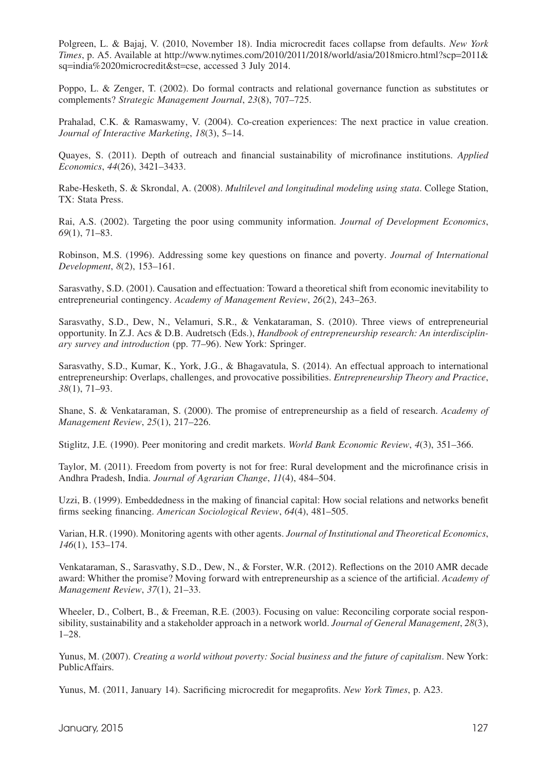Polgreen, L. & Bajaj, V. (2010, November 18). India microcredit faces collapse from defaults. *New York Times*, p. A5. Available at http://www.nytimes.com/2010/2011/2018/world/asia/2018micro.html?scp=2011& sq=india%2020microcredit&st=cse, accessed 3 July 2014.

Poppo, L. & Zenger, T. (2002). Do formal contracts and relational governance function as substitutes or complements? *Strategic Management Journal*, *23*(8), 707–725.

Prahalad, C.K. & Ramaswamy, V. (2004). Co-creation experiences: The next practice in value creation. *Journal of Interactive Marketing*, *18*(3), 5–14.

Quayes, S. (2011). Depth of outreach and financial sustainability of microfinance institutions. *Applied Economics*, *44*(26), 3421–3433.

Rabe-Hesketh, S. & Skrondal, A. (2008). *Multilevel and longitudinal modeling using stata*. College Station, TX: Stata Press.

Rai, A.S. (2002). Targeting the poor using community information. *Journal of Development Economics*, *69*(1), 71–83.

Robinson, M.S. (1996). Addressing some key questions on finance and poverty. *Journal of International Development*, *8*(2), 153–161.

Sarasvathy, S.D. (2001). Causation and effectuation: Toward a theoretical shift from economic inevitability to entrepreneurial contingency. *Academy of Management Review*, *26*(2), 243–263.

Sarasvathy, S.D., Dew, N., Velamuri, S.R., & Venkataraman, S. (2010). Three views of entrepreneurial opportunity. In Z.J. Acs & D.B. Audretsch (Eds.), *Handbook of entrepreneurship research: An interdisciplinary survey and introduction* (pp. 77–96). New York: Springer.

Sarasvathy, S.D., Kumar, K., York, J.G., & Bhagavatula, S. (2014). An effectual approach to international entrepreneurship: Overlaps, challenges, and provocative possibilities. *Entrepreneurship Theory and Practice*, *38*(1), 71–93.

Shane, S. & Venkataraman, S. (2000). The promise of entrepreneurship as a field of research. *Academy of Management Review*, *25*(1), 217–226.

Stiglitz, J.E. (1990). Peer monitoring and credit markets. *World Bank Economic Review*, *4*(3), 351–366.

Taylor, M. (2011). Freedom from poverty is not for free: Rural development and the microfinance crisis in Andhra Pradesh, India. *Journal of Agrarian Change*, *11*(4), 484–504.

Uzzi, B. (1999). Embeddedness in the making of financial capital: How social relations and networks benefit firms seeking financing. *American Sociological Review*, *64*(4), 481–505.

Varian, H.R. (1990). Monitoring agents with other agents. *Journal of Institutional and Theoretical Economics*, *146*(1), 153–174.

Venkataraman, S., Sarasvathy, S.D., Dew, N., & Forster, W.R. (2012). Reflections on the 2010 AMR decade award: Whither the promise? Moving forward with entrepreneurship as a science of the artificial. *Academy of Management Review*, *37*(1), 21–33.

Wheeler, D., Colbert, B., & Freeman, R.E. (2003). Focusing on value: Reconciling corporate social responsibility, sustainability and a stakeholder approach in a network world. *Journal of General Management*, *28*(3), 1–28.

Yunus, M. (2007). *Creating a world without poverty: Social business and the future of capitalism*. New York: PublicAffairs.

Yunus, M. (2011, January 14). Sacrificing microcredit for megaprofits. *New York Times*, p. A23.